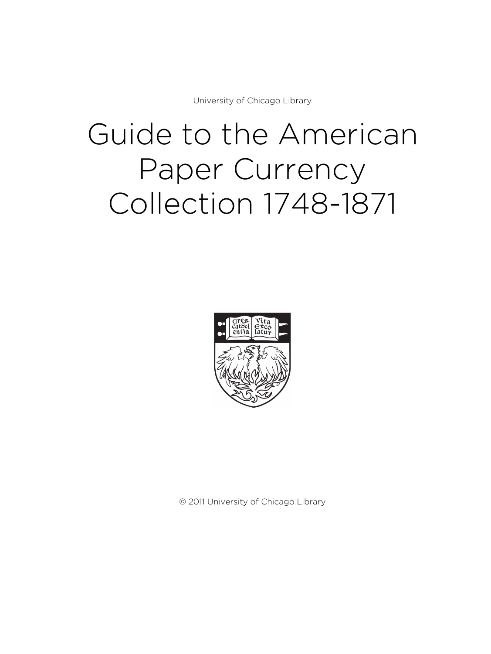University of Chicago Library

# Guide to the American Paper Currency Collection 1748-1871



© 2011 University of Chicago Library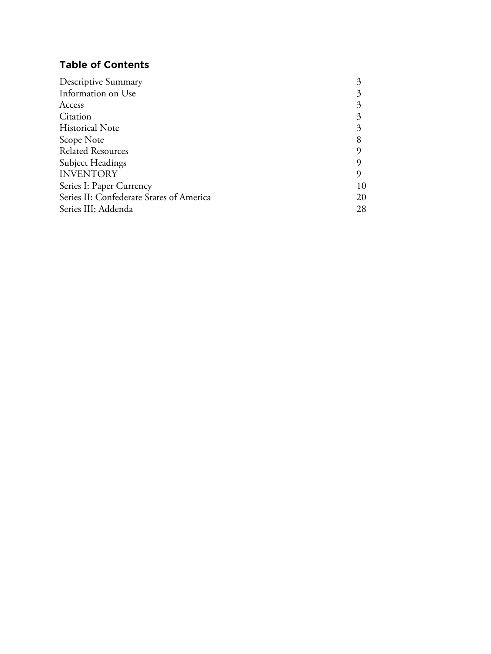# **Table of Contents**

| Descriptive Summary                      |    |
|------------------------------------------|----|
| Information on Use                       |    |
| Access                                   |    |
| Citation                                 |    |
| <b>Historical Note</b>                   |    |
| Scope Note                               |    |
| <b>Related Resources</b>                 |    |
| <b>Subject Headings</b>                  |    |
| <b>INVENTORY</b>                         |    |
| Series I: Paper Currency                 | 10 |
| Series II: Confederate States of America | 20 |
| Series III: Addenda                      | 28 |
|                                          |    |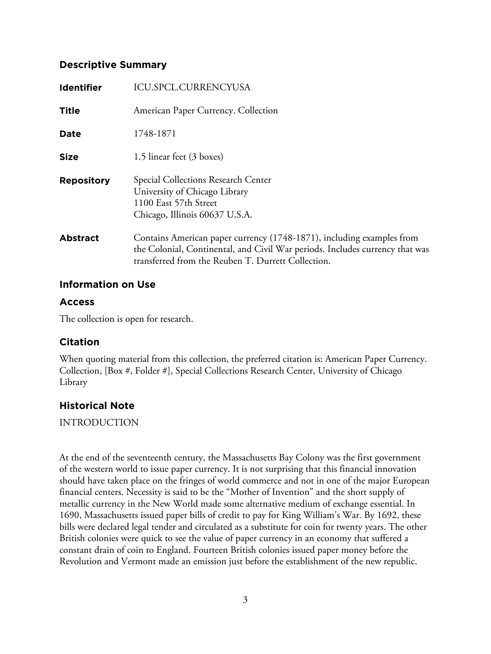# **Descriptive Summary**

| <b>Identifier</b> | <b>ICU.SPCL.CURRENCYUSA</b>                                                                                                                                                                                 |
|-------------------|-------------------------------------------------------------------------------------------------------------------------------------------------------------------------------------------------------------|
| <b>Title</b>      | American Paper Currency. Collection                                                                                                                                                                         |
| <b>Date</b>       | 1748-1871                                                                                                                                                                                                   |
| <b>Size</b>       | 1.5 linear feet (3 boxes)                                                                                                                                                                                   |
| <b>Repository</b> | Special Collections Research Center<br>University of Chicago Library<br>1100 East 57th Street<br>Chicago, Illinois 60637 U.S.A.                                                                             |
| <b>Abstract</b>   | Contains American paper currency (1748-1871), including examples from<br>the Colonial, Continental, and Civil War periods. Includes currency that was<br>transferred from the Reuben T. Durrett Collection. |

# **Information on Use**

# **Access**

The collection is open for research.

# **Citation**

When quoting material from this collection, the preferred citation is: American Paper Currency. Collection, [Box #, Folder #], Special Collections Research Center, University of Chicago Library

# **Historical Note**

INTRODUCTION

At the end of the seventeenth century, the Massachusetts Bay Colony was the first government of the western world to issue paper currency. It is not surprising that this financial innovation should have taken place on the fringes of world commerce and not in one of the major European financial centers. Necessity is said to be the "Mother of Invention" and the short supply of metallic currency in the New World made some alternative medium of exchange essential. In 1690, Massachusetts issued paper bills of credit to pay for King William's War. By 1692, these bills were declared legal tender and circulated as a substitute for coin for twenty years. The other British colonies were quick to see the value of paper currency in an economy that suffered a constant drain of coin to England. Fourteen British colonies issued paper money before the Revolution and Vermont made an emission just before the establishment of the new republic.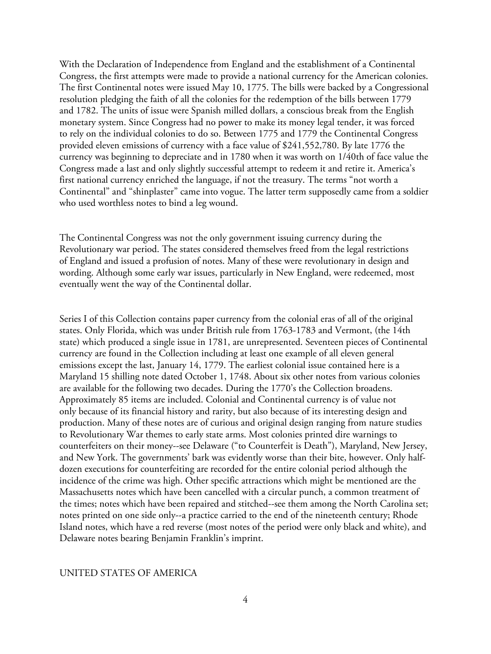With the Declaration of Independence from England and the establishment of a Continental Congress, the first attempts were made to provide a national currency for the American colonies. The first Continental notes were issued May 10, 1775. The bills were backed by a Congressional resolution pledging the faith of all the colonies for the redemption of the bills between 1779 and 1782. The units of issue were Spanish milled dollars, a conscious break from the English monetary system. Since Congress had no power to make its money legal tender, it was forced to rely on the individual colonies to do so. Between 1775 and 1779 the Continental Congress provided eleven emissions of currency with a face value of \$241,552,780. By late 1776 the currency was beginning to depreciate and in 1780 when it was worth on 1/40th of face value the Congress made a last and only slightly successful attempt to redeem it and retire it. America's first national currency enriched the language, if not the treasury. The terms "not worth a Continental" and "shinplaster" came into vogue. The latter term supposedly came from a soldier who used worthless notes to bind a leg wound.

The Continental Congress was not the only government issuing currency during the Revolutionary war period. The states considered themselves freed from the legal restrictions of England and issued a profusion of notes. Many of these were revolutionary in design and wording. Although some early war issues, particularly in New England, were redeemed, most eventually went the way of the Continental dollar.

Series I of this Collection contains paper currency from the colonial eras of all of the original states. Only Florida, which was under British rule from 1763-1783 and Vermont, (the 14th state) which produced a single issue in 1781, are unrepresented. Seventeen pieces of Continental currency are found in the Collection including at least one example of all eleven general emissions except the last, January 14, 1779. The earliest colonial issue contained here is a Maryland 15 shilling note dated October 1, 1748. About six other notes from various colonies are available for the following two decades. During the 1770's the Collection broadens. Approximately 85 items are included. Colonial and Continental currency is of value not only because of its financial history and rarity, but also because of its interesting design and production. Many of these notes are of curious and original design ranging from nature studies to Revolutionary War themes to early state arms. Most colonies printed dire warnings to counterfeiters on their money--see Delaware ("to Counterfeit is Death"), Maryland, New Jersey, and New York. The governments' bark was evidently worse than their bite, however. Only halfdozen executions for counterfeiting are recorded for the entire colonial period although the incidence of the crime was high. Other specific attractions which might be mentioned are the Massachusetts notes which have been cancelled with a circular punch, a common treatment of the times; notes which have been repaired and stitched--see them among the North Carolina set; notes printed on one side only--a practice carried to the end of the nineteenth century; Rhode Island notes, which have a red reverse (most notes of the period were only black and white), and Delaware notes bearing Benjamin Franklin's imprint.

## UNITED STATES OF AMERICA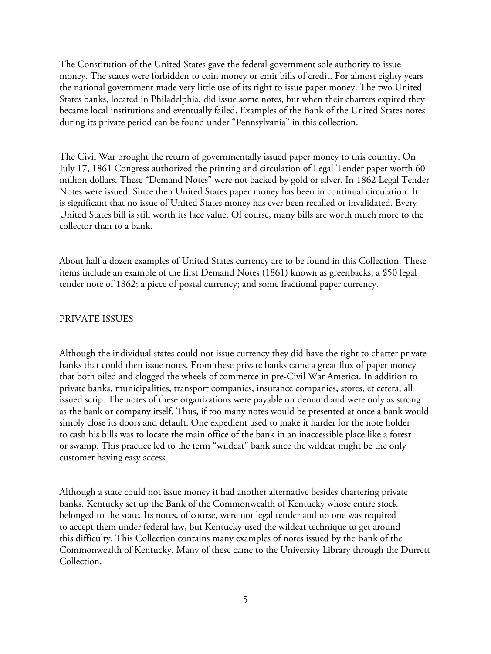The Constitution of the United States gave the federal government sole authority to issue money. The states were forbidden to coin money or emit bills of credit. For almost eighty years the national government made very little use of its right to issue paper money. The two United States banks, located in Philadelphia, did issue some notes, but when their charters expired they became local institutions and eventually failed. Examples of the Bank of the United States notes during its private period can be found under "Pennsylvania" in this collection.

The Civil War brought the return of governmentally issued paper money to this country. On July 17, 1861 Congress authorized the printing and circulation of Legal Tender paper worth 60 million dollars. These "Demand Notes" were not backed by gold or silver. In 1862 Legal Tender Notes were issued. Since then United States paper money has been in continual circulation. It is significant that no issue of United States money has ever been recalled or invalidated. Every United States bill is still worth its face value. Of course, many bills are worth much more to the collector than to a bank.

About half a dozen examples of United States currency are to be found in this Collection. These items include an example of the first Demand Notes (1861) known as greenbacks; a \$50 legal tender note of 1862; a piece of postal currency; and some fractional paper currency.

## PRIVATE ISSUES

Although the individual states could not issue currency they did have the right to charter private banks that could then issue notes. From these private banks came a great flux of paper money that both oiled and clogged the wheels of commerce in pre-Civil War America. In addition to private banks, municipalities, transport companies, insurance companies, stores, et cetera, all issued scrip. The notes of these organizations were payable on demand and were only as strong as the bank or company itself. Thus, if too many notes would be presented at once a bank would simply close its doors and default. One expedient used to make it harder for the note holder to cash his bills was to locate the main office of the bank in an inaccessible place like a forest or swamp. This practice led to the term "wildcat" bank since the wildcat might be the only customer having easy access.

Although a state could not issue money it had another alternative besides chartering private banks. Kentucky set up the Bank of the Commonwealth of Kentucky whose entire stock belonged to the state. Its notes, of course, were not legal tender and no one was required to accept them under federal law, but Kentucky used the wildcat technique to get around this difficulty. This Collection contains many examples of notes issued by the Bank of the Commonwealth of Kentucky. Many of these came to the University Library through the Durrett Collection.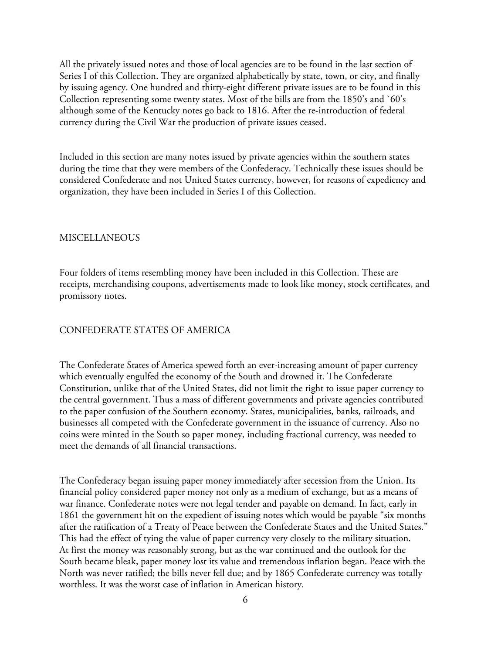All the privately issued notes and those of local agencies are to be found in the last section of Series I of this Collection. They are organized alphabetically by state, town, or city, and finally by issuing agency. One hundred and thirty-eight different private issues are to be found in this Collection representing some twenty states. Most of the bills are from the 1850's and `60's although some of the Kentucky notes go back to 1816. After the re-introduction of federal currency during the Civil War the production of private issues ceased.

Included in this section are many notes issued by private agencies within the southern states during the time that they were members of the Confederacy. Technically these issues should be considered Confederate and not United States currency, however, for reasons of expediency and organization, they have been included in Series I of this Collection.

#### **MISCELLANEOUS**

Four folders of items resembling money have been included in this Collection. These are receipts, merchandising coupons, advertisements made to look like money, stock certificates, and promissory notes.

## CONFEDERATE STATES OF AMERICA

The Confederate States of America spewed forth an ever-increasing amount of paper currency which eventually engulfed the economy of the South and drowned it. The Confederate Constitution, unlike that of the United States, did not limit the right to issue paper currency to the central government. Thus a mass of different governments and private agencies contributed to the paper confusion of the Southern economy. States, municipalities, banks, railroads, and businesses all competed with the Confederate government in the issuance of currency. Also no coins were minted in the South so paper money, including fractional currency, was needed to meet the demands of all financial transactions.

The Confederacy began issuing paper money immediately after secession from the Union. Its financial policy considered paper money not only as a medium of exchange, but as a means of war finance. Confederate notes were not legal tender and payable on demand. In fact, early in 1861 the government hit on the expedient of issuing notes which would be payable "six months after the ratification of a Treaty of Peace between the Confederate States and the United States." This had the effect of tying the value of paper currency very closely to the military situation. At first the money was reasonably strong, but as the war continued and the outlook for the South became bleak, paper money lost its value and tremendous inflation began. Peace with the North was never ratified; the bills never fell due; and by 1865 Confederate currency was totally worthless. It was the worst case of inflation in American history.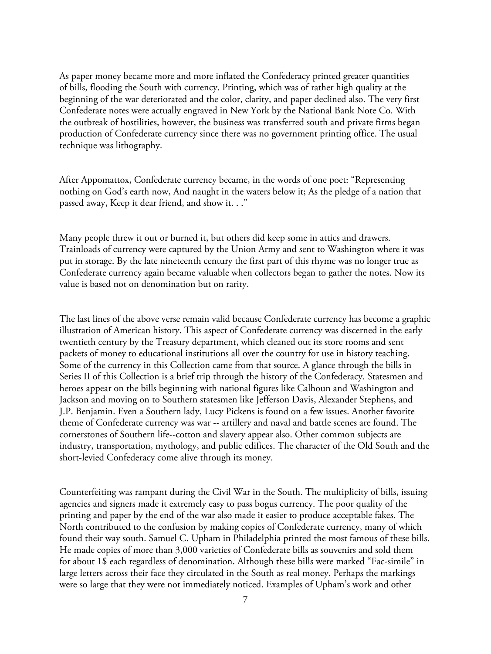As paper money became more and more inflated the Confederacy printed greater quantities of bills, flooding the South with currency. Printing, which was of rather high quality at the beginning of the war deteriorated and the color, clarity, and paper declined also. The very first Confederate notes were actually engraved in New York by the National Bank Note Co. With the outbreak of hostilities, however, the business was transferred south and private firms began production of Confederate currency since there was no government printing office. The usual technique was lithography.

After Appomattox, Confederate currency became, in the words of one poet: "Representing nothing on God's earth now, And naught in the waters below it; As the pledge of a nation that passed away, Keep it dear friend, and show it. . ."

Many people threw it out or burned it, but others did keep some in attics and drawers. Trainloads of currency were captured by the Union Army and sent to Washington where it was put in storage. By the late nineteenth century the first part of this rhyme was no longer true as Confederate currency again became valuable when collectors began to gather the notes. Now its value is based not on denomination but on rarity.

The last lines of the above verse remain valid because Confederate currency has become a graphic illustration of American history. This aspect of Confederate currency was discerned in the early twentieth century by the Treasury department, which cleaned out its store rooms and sent packets of money to educational institutions all over the country for use in history teaching. Some of the currency in this Collection came from that source. A glance through the bills in Series II of this Collection is a brief trip through the history of the Confederacy. Statesmen and heroes appear on the bills beginning with national figures like Calhoun and Washington and Jackson and moving on to Southern statesmen like Jefferson Davis, Alexander Stephens, and J.P. Benjamin. Even a Southern lady, Lucy Pickens is found on a few issues. Another favorite theme of Confederate currency was war -- artillery and naval and battle scenes are found. The cornerstones of Southern life--cotton and slavery appear also. Other common subjects are industry, transportation, mythology, and public edifices. The character of the Old South and the short-levied Confederacy come alive through its money.

Counterfeiting was rampant during the Civil War in the South. The multiplicity of bills, issuing agencies and signers made it extremely easy to pass bogus currency. The poor quality of the printing and paper by the end of the war also made it easier to produce acceptable fakes. The North contributed to the confusion by making copies of Confederate currency, many of which found their way south. Samuel C. Upham in Philadelphia printed the most famous of these bills. He made copies of more than 3,000 varieties of Confederate bills as souvenirs and sold them for about 1\$ each regardless of denomination. Although these bills were marked "Fac-simile" in large letters across their face they circulated in the South as real money. Perhaps the markings were so large that they were not immediately noticed. Examples of Upham's work and other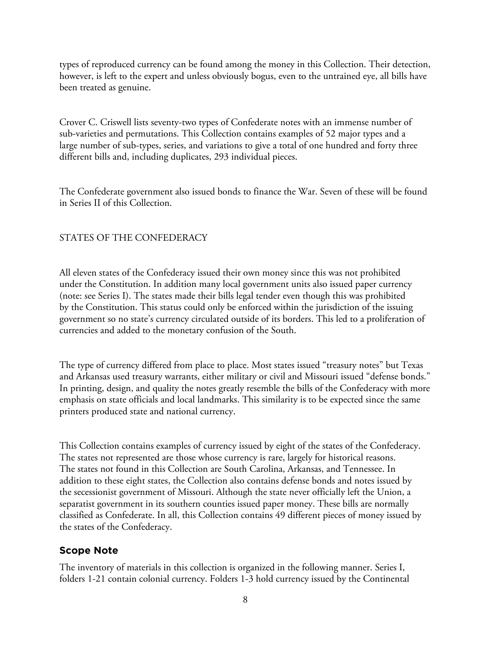types of reproduced currency can be found among the money in this Collection. Their detection, however, is left to the expert and unless obviously bogus, even to the untrained eye, all bills have been treated as genuine.

Crover C. Criswell lists seventy-two types of Confederate notes with an immense number of sub-varieties and permutations. This Collection contains examples of 52 major types and a large number of sub-types, series, and variations to give a total of one hundred and forty three different bills and, including duplicates, 293 individual pieces.

The Confederate government also issued bonds to finance the War. Seven of these will be found in Series II of this Collection.

## STATES OF THE CONFEDERACY

All eleven states of the Confederacy issued their own money since this was not prohibited under the Constitution. In addition many local government units also issued paper currency (note: see Series I). The states made their bills legal tender even though this was prohibited by the Constitution. This status could only be enforced within the jurisdiction of the issuing government so no state's currency circulated outside of its borders. This led to a proliferation of currencies and added to the monetary confusion of the South.

The type of currency differed from place to place. Most states issued "treasury notes" but Texas and Arkansas used treasury warrants, either military or civil and Missouri issued "defense bonds." In printing, design, and quality the notes greatly resemble the bills of the Confederacy with more emphasis on state officials and local landmarks. This similarity is to be expected since the same printers produced state and national currency.

This Collection contains examples of currency issued by eight of the states of the Confederacy. The states not represented are those whose currency is rare, largely for historical reasons. The states not found in this Collection are South Carolina, Arkansas, and Tennessee. In addition to these eight states, the Collection also contains defense bonds and notes issued by the secessionist government of Missouri. Although the state never officially left the Union, a separatist government in its southern counties issued paper money. These bills are normally classified as Confederate. In all, this Collection contains 49 different pieces of money issued by the states of the Confederacy.

## **Scope Note**

The inventory of materials in this collection is organized in the following manner. Series I, folders 1-21 contain colonial currency. Folders 1-3 hold currency issued by the Continental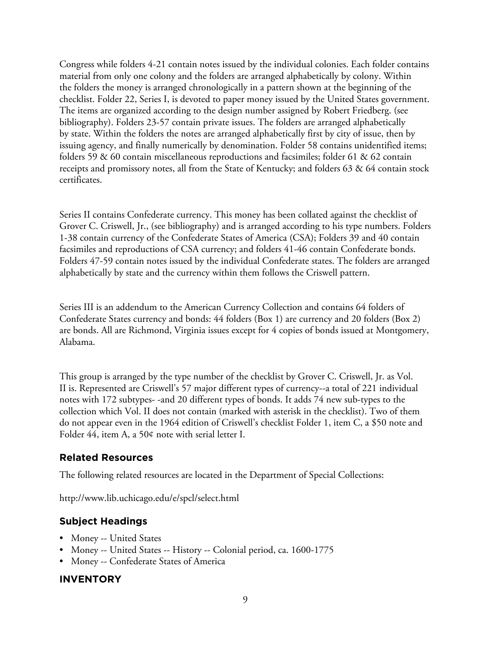Congress while folders 4-21 contain notes issued by the individual colonies. Each folder contains material from only one colony and the folders are arranged alphabetically by colony. Within the folders the money is arranged chronologically in a pattern shown at the beginning of the checklist. Folder 22, Series I, is devoted to paper money issued by the United States government. The items are organized according to the design number assigned by Robert Friedberg. (see bibliography). Folders 23-57 contain private issues. The folders are arranged alphabetically by state. Within the folders the notes are arranged alphabetically first by city of issue, then by issuing agency, and finally numerically by denomination. Folder 58 contains unidentified items; folders 59 & 60 contain miscellaneous reproductions and facsimiles; folder 61 & 62 contain receipts and promissory notes, all from the State of Kentucky; and folders 63 & 64 contain stock certificates.

Series II contains Confederate currency. This money has been collated against the checklist of Grover C. Criswell, Jr., (see bibliography) and is arranged according to his type numbers. Folders 1-38 contain currency of the Confederate States of America (CSA); Folders 39 and 40 contain facsimiles and reproductions of CSA currency; and folders 41-46 contain Confederate bonds. Folders 47-59 contain notes issued by the individual Confederate states. The folders are arranged alphabetically by state and the currency within them follows the Criswell pattern.

Series III is an addendum to the American Currency Collection and contains 64 folders of Confederate States currency and bonds: 44 folders (Box 1) are currency and 20 folders (Box 2) are bonds. All are Richmond, Virginia issues except for 4 copies of bonds issued at Montgomery, Alabama.

This group is arranged by the type number of the checklist by Grover C. Criswell, Jr. as Vol. II is. Represented are Criswell's 57 major different types of currency--a total of 221 individual notes with 172 subtypes- -and 20 different types of bonds. It adds 74 new sub-types to the collection which Vol. II does not contain (marked with asterisk in the checklist). Two of them do not appear even in the 1964 edition of Criswell's checklist Folder 1, item C, a \$50 note and Folder 44, item A, a 50¢ note with serial letter I.

# **Related Resources**

The following related resources are located in the Department of Special Collections:

http://www.lib.uchicago.edu/e/spcl/select.html

# **Subject Headings**

- Money -- United States
- Money -- United States -- History -- Colonial period, ca. 1600-1775
- Money -- Confederate States of America

# **INVENTORY**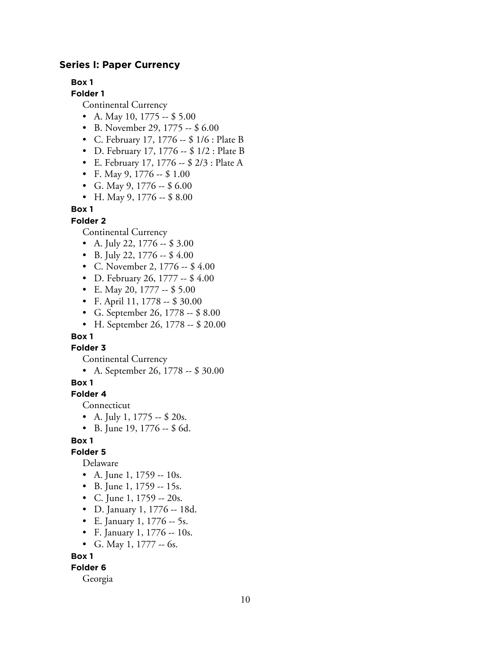## **Series I: Paper Currency**

**Box 1**

**Folder 1**

Continental Currency

- A. May 10, 1775  $-$  \$ 5.00
- B. November 29, 1775 -- \$ 6.00
- C. February 17, 1776 -- \$ 1/6 : Plate B
- D. February 17, 1776 -- \$ 1/2 : Plate B
- E. February 17, 1776 -- \$ 2/3 : Plate A
- F. May 9, 1776 --  $$1.00$
- G. May 9, 1776  $-$  \$ 6.00
- H. May 9, 1776 --  $$8.00$

**Box 1**

#### **Folder 2**

Continental Currency

- A. July 22,  $1776 $3.00$
- B. July 22, 1776  $-$  \$4.00
- C. November 2, 1776 -- \$4.00
- D. February 26, 1777 -- \$4.00
- E. May 20, 1777 -- \$ 5.00
- F. April 11, 1778 -- \$ 30.00
- G. September 26, 1778 -- \$ 8.00
- H. September 26, 1778 -- \$ 20.00

## **Box 1**

**Folder 3**

Continental Currency

• A. September 26, 1778 -- \$ 30.00

#### **Box 1**

#### **Folder 4**

Connecticut

- A. July 1, 1775  $-$  \$ 20s.
- B. June 19, 1776 -- \$ 6d.

## **Box 1**

## **Folder 5**

Delaware

- A. June 1, 1759 -- 10s.
- B. June 1, 1759 -- 15s.
- C. June 1, 1759 -- 20s.
- D. January 1, 1776 -- 18d.
- E. January 1,  $1776 5s$ .
- F. January 1, 1776 -- 10s.
- G. May 1, 1777  $-$  6s.

#### **Box 1**

## **Folder 6**

Georgia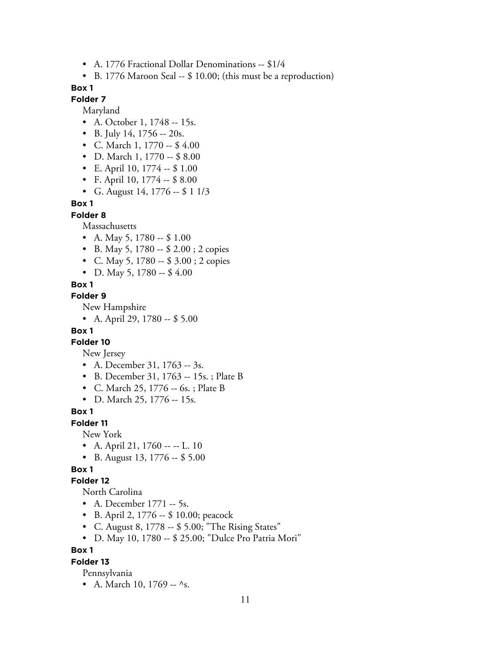- A. 1776 Fractional Dollar Denominations -- \$1/4
- B. 1776 Maroon Seal -- \$ 10.00; (this must be a reproduction)

## **Folder 7**

Maryland

- A. October 1, 1748 -- 15s.
- B. July 14, 1756  $-20s$ .
- C. March 1, 1770 -- \$ 4.00
- D. March 1, 1770 -- \$ 8.00
- E. April 10, 1774 -- \$ 1.00
- F. April 10, 1774 -- \$ 8.00
- G. August 14, 1776  $-$  \$ 1 1/3

## **Box 1**

**Folder 8**

Massachusetts

- A. May 5, 1780  $-$  \$ 1.00
- B. May 5, 1780 -- \$ 2.00; 2 copies
- C. May 5, 1780 -- \$ 3.00 ; 2 copies
- D. May 5, 1780 --  $$4.00$

#### **Box 1**

#### **Folder 9**

New Hampshire

• A. April 29, 1780 -- \$ 5.00

## **Box 1**

## **Folder 10**

New Jersey

- A. December 31, 1763 -- 3s.
- B. December 31, 1763 -- 15s. ; Plate B
- C. March 25, 1776 -- 6s. ; Plate B
- D. March 25, 1776 -- 15s.

#### **Box 1**

**Folder 11**

New York

- A. April 21, 1760 -- -- L. 10
- B. August 13, 1776 -- \$ 5.00

## **Box 1**

## **Folder 12**

North Carolina

- A. December 1771 -- 5s.
- B. April 2, 1776 -- \$ 10.00; peacock
- C. August 8, 1778 -- \$ 5.00; "The Rising States"
- D. May 10, 1780 -- \$ 25.00; "Dulce Pro Patria Mori"

## **Box 1**

## **Folder 13**

Pennsylvania

• A. March 10, 1769  $-$  ^s.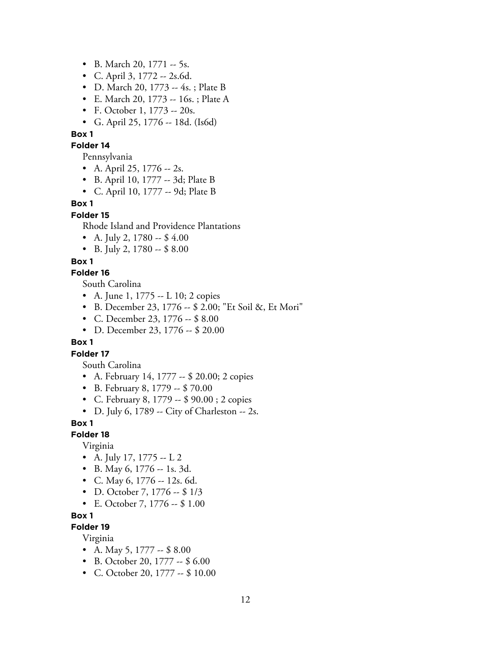- B. March 20, 1771 -- 5s.
- C. April 3, 1772 -- 2s.6d.
- D. March 20, 1773 -- 4s. ; Plate B
- E. March 20, 1773 -- 16s. ; Plate A
- F. October 1, 1773 -- 20s.
- G. April 25, 1776 -- 18d. (Is6d)
- **Box 1**

#### **Folder 14**

Pennsylvania

- A. April 25, 1776  $-$  2s.
- B. April 10, 1777 -- 3d; Plate B
- C. April 10, 1777 -- 9d; Plate B

## **Box 1**

#### **Folder 15**

Rhode Island and Providence Plantations

- A. July 2, 1780  $-$  \$4.00
- B. July 2, 1780  $-$  \$ 8.00

#### **Box 1**

## **Folder 16**

South Carolina

- A. June 1, 1775 -- L 10; 2 copies
- B. December 23, 1776 -- \$ 2.00; "Et Soil &, Et Mori"
- C. December 23, 1776 -- \$ 8.00
- D. December 23, 1776 -- \$ 20.00

#### **Box 1**

## **Folder 17**

South Carolina

- A. February 14, 1777 -- \$ 20.00; 2 copies
- B. February 8, 1779 -- \$ 70.00
- C. February 8, 1779 -- \$ 90.00 ; 2 copies
- D. July 6, 1789 -- City of Charleston -- 2s.

## **Box 1**

#### **Folder 18**

Virginia

- A. July 17, 1775  $-$  L 2
- B. May 6, 1776 -- 1s. 3d.
- C. May 6, 1776 -- 12s. 6d.
- D. October 7, 1776 -- \$ 1/3
- E. October 7, 1776 -- \$ 1.00

#### **Box 1**

## **Folder 19**

Virginia

- A. May 5, 1777  $-$  \$ 8.00
- B. October 20, 1777 -- \$ 6.00
- C. October 20, 1777 -- \$ 10.00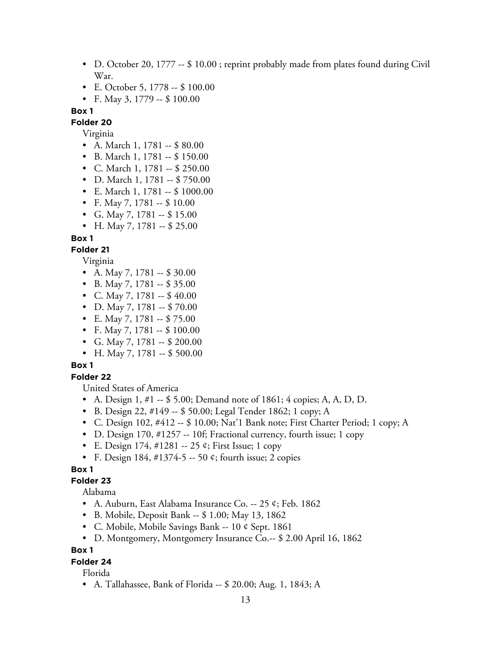- D. October 20, 1777 -- \$ 10.00; reprint probably made from plates found during Civil War.
- E. October 5, 1778 -- \$ 100.00
- F. May 3, 1779  $-$  \$ 100.00

# **Folder 20**

Virginia

- A. March 1, 1781 -- \$ 80.00
- B. March 1, 1781 -- \$ 150.00
- C. March 1, 1781 -- \$ 250.00
- D. March 1, 1781  $-$  \$ 750.00
- E. March 1, 1781 -- \$ 1000.00
- F. May 7, 1781 -- \$10.00
- G. May 7, 1781  $-$  \$ 15.00
- H. May 7, 1781 -- \$ 25.00

## **Box 1**

# **Folder 21**

Virginia

- A. May 7, 1781 -- \$ 30.00
- B. May 7, 1781 -- \$ 35.00
- C. May 7, 1781 --  $$40.00$
- D. May 7, 1781 -- \$70.00
- E. May 7, 1781 -- \$75.00
- F. May 7, 1781  $-$  \$ 100.00
- G. May 7, 1781 -- \$ 200.00
- H. May 7, 1781  $-$  \$ 500.00

## **Box 1**

# **Folder 22**

United States of America

- A. Design 1, #1 -- \$ 5.00; Demand note of 1861; 4 copies; A, A, D, D.
- B. Design 22, #149 -- \$ 50.00; Legal Tender 1862; 1 copy; A
- C. Design 102, #412 -- \$ 10.00; Nat'1 Bank note; First Charter Period; 1 copy; A
- D. Design 170, #1257 -- 10f; Fractional currency, fourth issue; 1 copy
- E. Design  $174, \#1281 25$  ¢; First Issue; 1 copy
- F. Design 184, #1374-5 -- 50 ¢; fourth issue; 2 copies

## **Box 1**

## **Folder 23**

Alabama

- A. Auburn, East Alabama Insurance Co. -- 25 ¢; Feb. 1862
- B. Mobile, Deposit Bank -- \$ 1.00; May 13, 1862
- C. Mobile, Mobile Savings Bank -- 10 ¢ Sept. 1861
- D. Montgomery, Montgomery Insurance Co.-- \$ 2.00 April 16, 1862

#### **Box 1**

## **Folder 24**

Florida

• A. Tallahassee, Bank of Florida -- \$ 20.00; Aug. 1, 1843; A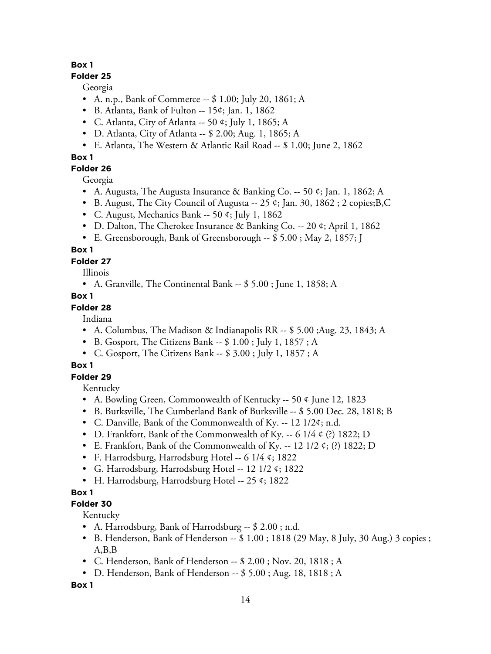## **Folder 25**

Georgia

- A. n.p., Bank of Commerce -- \$ 1.00; July 20, 1861; A
- B. Atlanta, Bank of Fulton -- 15¢; Jan. 1, 1862
- C. Atlanta, City of Atlanta -- 50 ¢; July 1, 1865; A
- D. Atlanta, City of Atlanta -- \$ 2.00; Aug. 1, 1865; A
- E. Atlanta, The Western & Atlantic Rail Road -- \$ 1.00; June 2, 1862

# **Box 1**

**Folder 26**

Georgia

- A. Augusta, The Augusta Insurance & Banking Co.  $-50 \div 50$ , Jan. 1, 1862; A
- B. August, The City Council of Augusta -- 25 ¢; Jan. 30, 1862 ; 2 copies;B,C
- C. August, Mechanics Bank -- 50 ¢; July 1, 1862
- D. Dalton, The Cherokee Insurance & Banking Co. -- 20 ¢; April 1, 1862
- E. Greensborough, Bank of Greensborough -- \$ 5.00 ; May 2, 1857; J

# **Box 1**

# **Folder 27**

Illinois

• A. Granville, The Continental Bank -- \$ 5.00 ; June 1, 1858; A

# **Box 1**

# **Folder 28**

Indiana

- A. Columbus, The Madison & Indianapolis RR -- \$ 5.00 ;Aug. 23, 1843; A
- B. Gosport, The Citizens Bank -- \$ 1.00 ; July 1, 1857 ; A
- C. Gosport, The Citizens Bank -- \$ 3.00 ; July 1, 1857 ; A

# **Box 1**

# **Folder 29**

Kentucky

- A. Bowling Green, Commonwealth of Kentucky -- 50 ¢ June 12, 1823
- B. Burksville, The Cumberland Bank of Burksville -- \$ 5.00 Dec. 28, 1818; B
- C. Danville, Bank of the Commonwealth of Ky. -- 12 1/2¢; n.d.
- D. Frankfort, Bank of the Commonwealth of Ky. -- 6 1/4  $\circ$  (?) 1822; D
- E. Frankfort, Bank of the Commonwealth of Ky. -- 12 1/2  $\phi$ ; (?) 1822; D
- F. Harrodsburg, Harrodsburg Hotel -- 6 1/4 ¢; 1822
- G. Harrodsburg, Harrodsburg Hotel -- 12 1/2  $\phi$ ; 1822
- H. Harrodsburg, Harrodsburg Hotel -- 25 ¢; 1822

# **Box 1**

# **Folder 30**

Kentucky

- A. Harrodsburg, Bank of Harrodsburg -- \$ 2.00 ; n.d.
- B. Henderson, Bank of Henderson -- \$ 1.00 ; 1818 (29 May, 8 July, 30 Aug.) 3 copies ; A,B,B
- C. Henderson, Bank of Henderson -- \$ 2.00 ; Nov. 20, 1818 ; A
- D. Henderson, Bank of Henderson -- \$ 5.00 ; Aug. 18, 1818 ; A

**Box 1**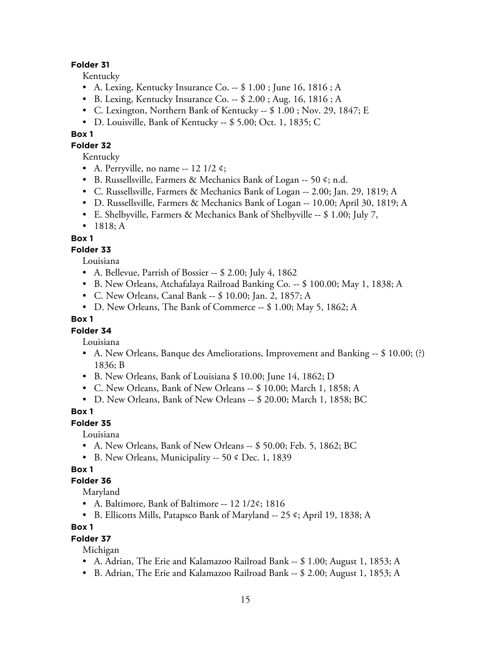## **Folder 31**

Kentucky

- A. Lexing, Kentucky Insurance Co. -- \$ 1.00 ; June 16, 1816 ; A
- B. Lexing, Kentucky Insurance Co. -- \$ 2.00 ; Aug. 16, 1816 ; A
- C. Lexington, Northern Bank of Kentucky -- \$ 1.00 ; Nov. 29, 1847; E
- D. Louisville, Bank of Kentucky -- \$ 5.00; Oct. 1, 1835; C

## **Box 1**

**Folder 32**

Kentucky

- A. Perryville, no name  $-12$  1/2 ¢;
- B. Russellsville, Farmers & Mechanics Bank of Logan -- 50 ¢; n.d.
- C. Russellsville, Farmers & Mechanics Bank of Logan -- 2.00; Jan. 29, 1819; A
- D. Russellsville, Farmers & Mechanics Bank of Logan -- 10.00; April 30, 1819; A
- E. Shelbyville, Farmers & Mechanics Bank of Shelbyville -- \$ 1.00; July 7,
- 1818; A

# **Box 1**

## **Folder 33**

Louisiana

- A. Bellevue, Parrish of Bossier -- \$ 2.00; July 4, 1862
- B. New Orleans, Atchafalaya Railroad Banking Co. -- \$ 100.00; May 1, 1838; A
- C. New Orleans, Canal Bank -- \$ 10.00; Jan. 2, 1857; A
- D. New Orleans, The Bank of Commerce -- \$ 1.00; May 5, 1862; A

## **Box 1**

## **Folder 34**

Louisiana

- A. New Orleans, Banque des Ameliorations, Improvement and Banking -- \$ 10.00; (?) 1836; B
- B. New Orleans, Bank of Louisiana \$ 10.00; June 14, 1862; D
- C. New Orleans, Bank of New Orleans -- \$ 10.00; March 1, 1858; A
- D. New Orleans, Bank of New Orleans -- \$ 20.00; March 1, 1858; BC

## **Box 1**

## **Folder 35**

Louisiana

- A. New Orleans, Bank of New Orleans -- \$ 50.00; Feb. 5, 1862; BC
- B. New Orleans, Municipality -- 50 ¢ Dec. 1, 1839

# **Box 1**

## **Folder 36**

Maryland

- A. Baltimore, Bank of Baltimore -- 12 1/2¢; 1816
- B. Ellicotts Mills, Patapsco Bank of Maryland -- 25 ¢; April 19, 1838; A

## **Box 1**

## **Folder 37**

Michigan

- A. Adrian, The Erie and Kalamazoo Railroad Bank -- \$ 1.00; August 1, 1853; A
- B. Adrian, The Erie and Kalamazoo Railroad Bank -- \$ 2.00; August 1, 1853; A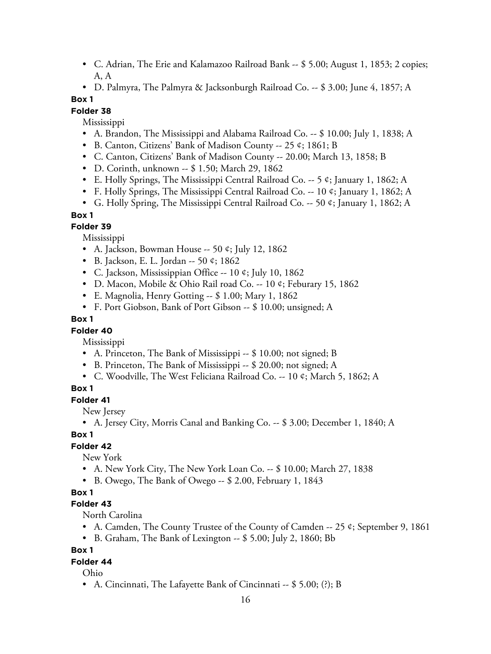- C. Adrian, The Erie and Kalamazoo Railroad Bank -- \$ 5.00; August 1, 1853; 2 copies; A, A
- D. Palmyra, The Palmyra & Jacksonburgh Railroad Co. -- \$ 3.00; June 4, 1857; A

## **Folder 38**

Mississippi

- A. Brandon, The Mississippi and Alabama Railroad Co. -- \$ 10.00; July 1, 1838; A
- B. Canton, Citizens' Bank of Madison County -- 25 ¢; 1861; B
- C. Canton, Citizens' Bank of Madison County -- 20.00; March 13, 1858; B
- D. Corinth, unknown -- \$ 1.50; March 29, 1862
- E. Holly Springs, The Mississippi Central Railroad Co. -- 5 ¢; January 1, 1862; A
- F. Holly Springs, The Mississippi Central Railroad Co. -- 10 ¢; January 1, 1862; A
- G. Holly Spring, The Mississippi Central Railroad Co. -- 50 ¢; January 1, 1862; A

## **Box 1**

## **Folder 39**

Mississippi

- A. Jackson, Bowman House -- 50  $\ell$ ; July 12, 1862
- B. Jackson, E. L. Jordan -- 50 ¢; 1862
- C. Jackson, Mississippian Office -- 10 ¢; July 10, 1862
- D. Macon, Mobile & Ohio Rail road Co. -- 10 ¢; Feburary 15, 1862
- E. Magnolia, Henry Gotting -- \$ 1.00; Mary 1, 1862
- F. Port Giobson, Bank of Port Gibson -- \$ 10.00; unsigned; A

## **Box 1**

## **Folder 40**

Mississippi

- A. Princeton, The Bank of Mississippi -- \$ 10.00; not signed; B
- B. Princeton, The Bank of Mississippi -- \$ 20.00; not signed; A
- C. Woodville, The West Feliciana Railroad Co. -- 10 ¢; March 5, 1862; A

## **Box 1**

## **Folder 41**

New Jersey

• A. Jersey City, Morris Canal and Banking Co. -- \$ 3.00; December 1, 1840; A

## **Box 1**

## **Folder 42**

New York

- A. New York City, The New York Loan Co. -- \$ 10.00; March 27, 1838
- B. Owego, The Bank of Owego -- \$ 2.00, February 1, 1843

## **Box 1**

## **Folder 43**

North Carolina

- A. Camden, The County Trustee of the County of Camden -- 25 ¢; September 9, 1861
- B. Graham, The Bank of Lexington -- \$ 5.00; July 2, 1860; Bb

## **Box 1**

## **Folder 44**

Ohio

• A. Cincinnati, The Lafayette Bank of Cincinnati -- \$ 5.00; (?); B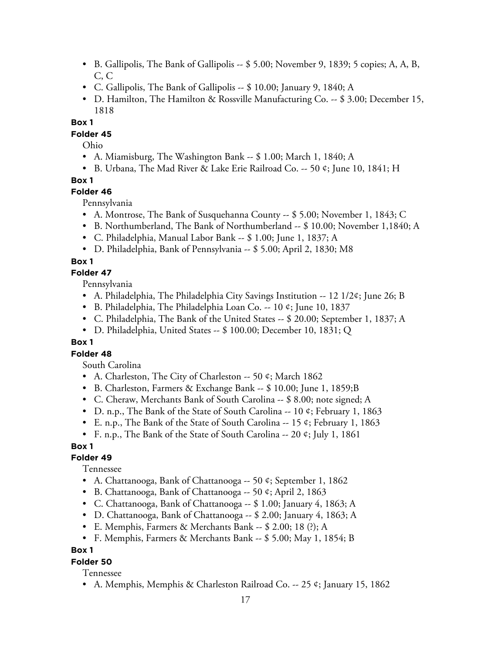- B. Gallipolis, The Bank of Gallipolis -- \$ 5.00; November 9, 1839; 5 copies; A, A, B, C, C
- C. Gallipolis, The Bank of Gallipolis -- \$ 10.00; January 9, 1840; A
- D. Hamilton, The Hamilton & Rossville Manufacturing Co. -- \$ 3.00; December 15, 1818

## **Folder 45**

Ohio

- A. Miamisburg, The Washington Bank -- \$ 1.00; March 1, 1840; A
- B. Urbana, The Mad River & Lake Erie Railroad Co. -- 50 ¢; June 10, 1841; H

## **Box 1**

## **Folder 46**

Pennsylvania

- A. Montrose, The Bank of Susquehanna County -- \$ 5.00; November 1, 1843; C
- B. Northumberland, The Bank of Northumberland -- \$ 10.00; November 1,1840; A
- C. Philadelphia, Manual Labor Bank -- \$ 1.00; June 1, 1837; A
- D. Philadelphia, Bank of Pennsylvania -- \$ 5.00; April 2, 1830; M8

## **Box 1**

## **Folder 47**

Pennsylvania

- A. Philadelphia, The Philadelphia City Savings Institution -- 12 1/2¢; June 26; B
- B. Philadelphia, The Philadelphia Loan Co. -- 10 ¢; June 10, 1837
- C. Philadelphia, The Bank of the United States -- \$ 20.00; September 1, 1837; A
- D. Philadelphia, United States -- \$ 100.00; December 10, 1831; Q

## **Box 1**

## **Folder 48**

South Carolina

- A. Charleston, The City of Charleston -- 50 ¢; March 1862
- B. Charleston, Farmers & Exchange Bank -- \$ 10.00; June 1, 1859;B
- C. Cheraw, Merchants Bank of South Carolina -- \$ 8.00; note signed; A
- D. n.p., The Bank of the State of South Carolina -- 10 ¢; February 1, 1863
- E. n.p., The Bank of the State of South Carolina -- 15  $\epsilon$ ; February 1, 1863
- F. n.p., The Bank of the State of South Carolina -- 20 ¢; July 1, 1861

## **Box 1**

## **Folder 49**

Tennessee

- A. Chattanooga, Bank of Chattanooga -- 50 ¢; September 1, 1862
- B. Chattanooga, Bank of Chattanooga -- 50 ¢; April 2, 1863
- C. Chattanooga, Bank of Chattanooga -- \$ 1.00; January 4, 1863; A
- D. Chattanooga, Bank of Chattanooga -- \$ 2.00; January 4, 1863; A
- E. Memphis, Farmers & Merchants Bank -- \$ 2.00; 18 (?); A
- F. Memphis, Farmers & Merchants Bank -- \$ 5.00; May 1, 1854; B

## **Box 1**

## **Folder 50**

Tennessee

• A. Memphis, Memphis & Charleston Railroad Co. -- 25 ¢; January 15, 1862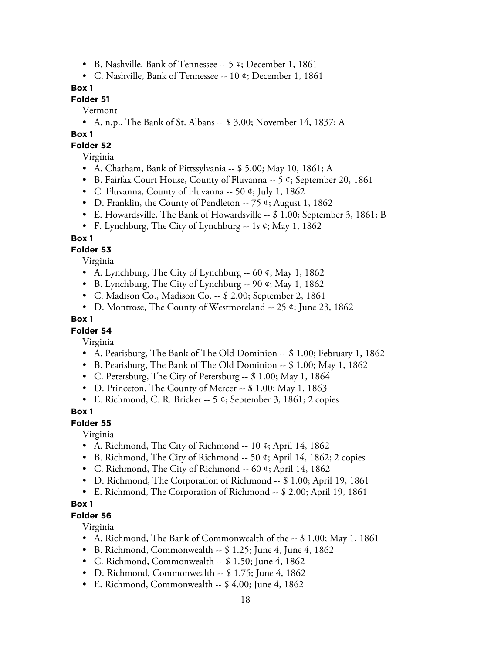- B. Nashville, Bank of Tennessee -- 5 ¢; December 1, 1861
- C. Nashville, Bank of Tennessee -- 10 ¢; December 1, 1861

# **Folder 51**

Vermont

• A. n.p., The Bank of St. Albans -- \$ 3.00; November 14, 1837; A

## **Box 1**

#### **Folder 52**

Virginia

- A. Chatham, Bank of Pittssylvania -- \$ 5.00; May 10, 1861; A
- B. Fairfax Court House, County of Fluvanna  $-5 \; \text{\textdegree}$ ; September 20, 1861
- C. Fluvanna, County of Fluvanna -- 50 ¢; July 1, 1862
- D. Franklin, the County of Pendleton -- 75  $\circ$ ; August 1, 1862
- E. Howardsville, The Bank of Howardsville -- \$ 1.00; September 3, 1861; B
- F. Lynchburg, The City of Lynchburg -- 1s ¢; May 1, 1862

## **Box 1**

## **Folder 53**

Virginia

- A. Lynchburg, The City of Lynchburg -- 60 ¢; May 1, 1862
- B. Lynchburg, The City of Lynchburg -- 90  $\phi$ ; May 1, 1862
- C. Madison Co., Madison Co. -- \$ 2.00; September 2, 1861
- D. Montrose, The County of Westmoreland -- 25 ¢; June 23, 1862

## **Box 1**

## **Folder 54**

Virginia

- A. Pearisburg, The Bank of The Old Dominion -- \$ 1.00; February 1, 1862
- B. Pearisburg, The Bank of The Old Dominion -- \$ 1.00; May 1, 1862
- C. Petersburg, The City of Petersburg -- \$ 1.00; May 1, 1864
- D. Princeton, The County of Mercer -- \$ 1.00; May 1, 1863
- E. Richmond, C. R. Bricker -- 5  $\phi$ ; September 3, 1861; 2 copies

## **Box 1**

## **Folder 55**

Virginia

- A. Richmond, The City of Richmond -- 10 ¢; April 14, 1862
- B. Richmond, The City of Richmond -- 50 ¢; April 14, 1862; 2 copies
- C. Richmond, The City of Richmond -- 60 ¢; April 14, 1862
- D. Richmond, The Corporation of Richmond -- \$ 1.00; April 19, 1861
- E. Richmond, The Corporation of Richmond -- \$ 2.00; April 19, 1861

## **Box 1**

## **Folder 56**

Virginia

- A. Richmond, The Bank of Commonwealth of the -- \$1.00; May 1, 1861
- B. Richmond, Commonwealth -- \$ 1.25; June 4, June 4, 1862
- C. Richmond, Commonwealth -- \$ 1.50; June 4, 1862
- D. Richmond, Commonwealth -- \$ 1.75; June 4, 1862
- E. Richmond, Commonwealth -- \$ 4.00; June 4, 1862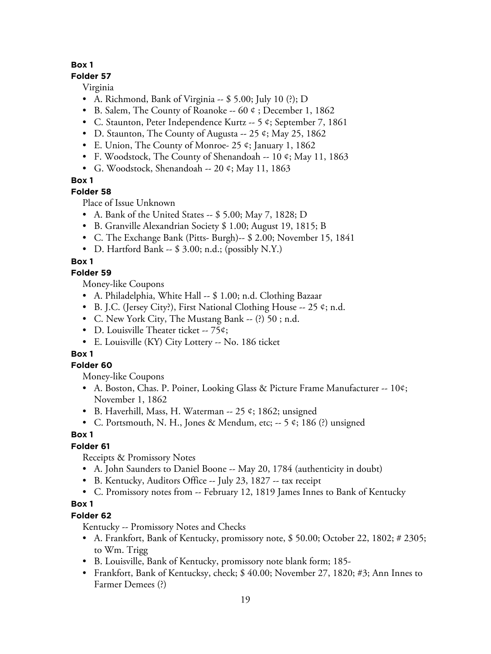## **Folder 57**

Virginia

- A. Richmond, Bank of Virginia -- \$ 5.00; July 10 (?); D
- B. Salem, The County of Roanoke  $-60 \div 1$ , December 1, 1862
- C. Staunton, Peter Independence Kurtz -- 5 ¢; September 7, 1861
- D. Staunton, The County of Augusta -- 25  $\mathfrak{e}$ ; May 25, 1862
- E. Union, The County of Monroe- 25 ¢; January 1, 1862
- F. Woodstock, The County of Shenandoah -- 10 ¢; May 11, 1863
- G. Woodstock, Shenandoah -- 20 ¢; May 11, 1863

# **Box 1**

# **Folder 58**

Place of Issue Unknown

- A. Bank of the United States -- \$ 5.00; May 7, 1828; D
- B. Granville Alexandrian Society \$ 1.00; August 19, 1815; B
- C. The Exchange Bank (Pitts- Burgh)-- \$ 2.00; November 15, 1841
- D. Hartford Bank -- \$ 3.00; n.d.; (possibly N.Y.)

# **Box 1**

# **Folder 59**

Money-like Coupons

- A. Philadelphia, White Hall -- \$ 1.00; n.d. Clothing Bazaar
- B. J.C. (Jersey City?), First National Clothing House -- 25  $\phi$ ; n.d.
- C. New York City, The Mustang Bank -- (?) 50 ; n.d.
- D. Louisville Theater ticket -- 75¢;
- E. Louisville (KY) City Lottery -- No. 186 ticket

# **Box 1**

# **Folder 60**

Money-like Coupons

- A. Boston, Chas. P. Poiner, Looking Glass & Picture Frame Manufacturer -- 10¢; November 1, 1862
- B. Haverhill, Mass, H. Waterman -- 25  $\mathfrak{e}$ ; 1862; unsigned
- C. Portsmouth, N. H., Jones & Mendum, etc; -- 5 ¢; 186 (?) unsigned

# **Box 1**

# **Folder 61**

Receipts & Promissory Notes

- A. John Saunders to Daniel Boone -- May 20, 1784 (authenticity in doubt)
- B. Kentucky, Auditors Office -- July 23, 1827 -- tax receipt
- C. Promissory notes from -- February 12, 1819 James Innes to Bank of Kentucky

# **Box 1**

# **Folder 62**

Kentucky -- Promissory Notes and Checks

- A. Frankfort, Bank of Kentucky, promissory note, \$50.00; October 22, 1802; #2305; to Wm. Trigg
- B. Louisville, Bank of Kentucky, promissory note blank form; 185-
- Frankfort, Bank of Kentucksy, check; \$ 40.00; November 27, 1820; #3; Ann Innes to Farmer Demees (?)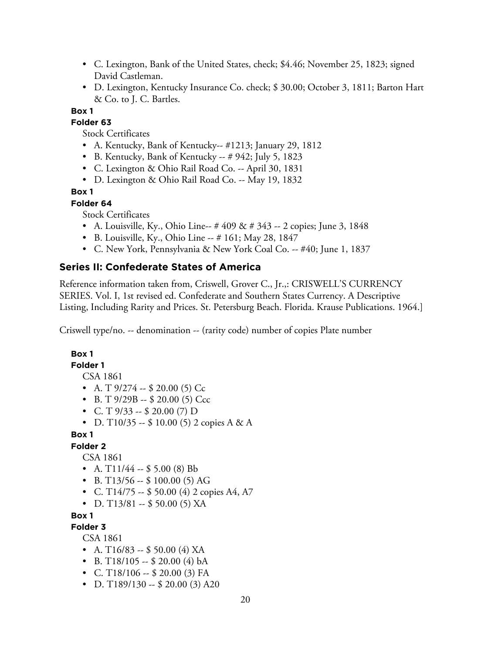- C. Lexington, Bank of the United States, check; \$4.46; November 25, 1823; signed David Castleman.
- D. Lexington, Kentucky Insurance Co. check; \$ 30.00; October 3, 1811; Barton Hart & Co. to J. C. Bartles.

**Folder 63**

Stock Certificates

- A. Kentucky, Bank of Kentucky-- #1213; January 29, 1812
- B. Kentucky, Bank of Kentucky -- # 942; July 5, 1823
- C. Lexington & Ohio Rail Road Co. -- April 30, 1831
- D. Lexington & Ohio Rail Road Co. -- May 19, 1832

## **Box 1**

## **Folder 64**

Stock Certificates

- A. Louisville, Ky., Ohio Line--  $\# 409 \& \# 343 2$  copies; June 3, 1848
- B. Louisville, Ky., Ohio Line -- # 161; May 28, 1847
- C. New York, Pennsylvania & New York Coal Co. -- #40; June 1, 1837

# **Series II: Confederate States of America**

Reference information taken from, Criswell, Grover C., Jr.,: CRISWELL'S CURRENCY SERIES. Vol. I, 1st revised ed. Confederate and Southern States Currency. A Descriptive Listing, Including Rarity and Prices. St. Petersburg Beach. Florida. Krause Publications. 1964.]

Criswell type/no. -- denomination -- (rarity code) number of copies Plate number

## **Box 1**

#### **Folder 1**

CSA 1861

- A. T  $9/274 $20.00(5)$  Cc
- B. T  $9/29B $20.00(5)$  Ccc
- C. T  $9/33 $20.00(7)$  D
- D. T10/35 --  $$10.00(5)$  2 copies A & A

**Box 1**

## **Folder 2**

CSA 1861

- A.  $T11/44 S5.00$  (8) Bb
- B. T $13/56 $100.00(5)$  AG
- C. T14/75 --  $$50.00$  (4) 2 copies A4, A7
- D. T $13/81 $50.00(5)$  XA

## **Box 1**

**Folder 3**

CSA 1861

- A. T $16/83 $50.00$  (4) XA
- B. T $18/105 $20.00$  (4) bA
- C. T18/106 -- \$ 20.00 (3) FA
- D. T189/130 -- \$ 20.00 (3) A20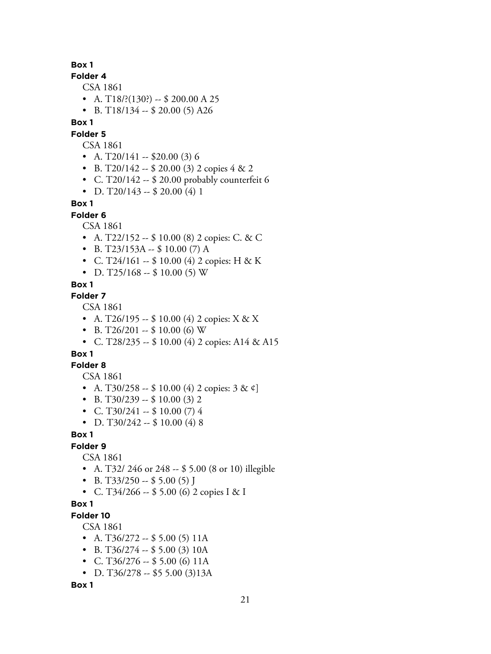## **Folder 4**

CSA 1861

- A. T18/?(130?) -- \$ 200.00 A 25
- B. T18/134 -- \$ 20.00 (5) A26

## **Box 1**

**Folder 5**

## CSA 1861

- A.  $T20/141 $20.00(3)$  6
- B. T20/142 -- \$ 20.00 (3) 2 copies  $4 & 2$
- C. T20/142 -- \$ 20.00 probably counterfeit 6
- D. T20/143 -- \$ 20.00 (4) 1

## **Box 1**

**Folder 6**

CSA 1861

- A. T22/152 --  $$ 10.00 (8) 2$  copies: C. & C
- B. T23/153A --  $$10.00(7)$  A
- C. T24/161 --  $$ 10.00 (4) 2$  copies: H & K
- D. T25/168 --  $$10.00(5)$  W

#### **Box 1**

## **Folder 7**

CSA 1861

- A. T26/195 -- \$ 10.00 (4) 2 copies:  $X & X X$
- B. T26/201 --  $$10.00$  (6) W
- C. T28/235 -- \$ 10.00 (4) 2 copies: A14 & A15

# **Box 1**

**Folder 8**

CSA 1861

- A. T30/258 -- \$ 10.00 (4) 2 copies:  $3 \& \phi$ ]
- B. T30/239  $-$  \$ 10.00 (3) 2
- C. T30/241 --  $$10.00(7)4$
- D. T $30/242 $10.00 (4) 8$

## **Box 1**

## **Folder 9**

CSA 1861

- A. T32/ 246 or 248 -- \$ 5.00 (8 or 10) illegible
- B. T33/250 -- \$ 5.00 (5) J
- C. T34/266 -- \$ 5.00 (6) 2 copies I & I

## **Box 1**

## **Folder 10**

CSA 1861

- A. T $36/272 55.00$  (5) 11A
- B. T $36/274 $5.00(3)10A$
- C. T36/276 -- \$ 5.00 (6) 11A
- D. T36/278 -- \$5 5.00 (3)13A

**Box 1**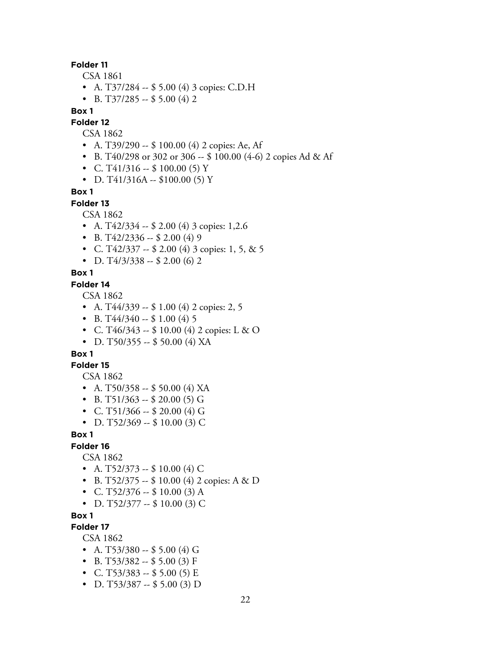#### **Folder 11**

CSA 1861

- A. T37/284 -- \$ 5.00 (4) 3 copies: C.D.H
- B. T37/285 -- \$ 5.00 (4) 2

#### **Box 1**

**Folder 12**

CSA 1862

- A. T39/290 -- \$ 100.00 (4) 2 copies: Ae, Af
- B. T40/298 or 302 or 306 -- \$ 100.00 (4-6) 2 copies Ad & Af
- C. T41/316 --  $$100.00(5) Y$
- D. T41/316A --  $$100.00(5)$  Y

**Box 1**

#### **Folder 13**

CSA 1862

- A. T42/334 -- \$ 2.00 (4) 3 copies: 1,2.6
- B. T $42/2336 200(4)9$
- C. T42/337 -- \$ 2.00 (4) 3 copies: 1, 5, & 5
- D. T $4/3/338 2.00$  (6) 2

#### **Box 1**

#### **Folder 14**

CSA 1862

- A. T $44/339 1.00$  (4) 2 copies: 2, 5
- B. T $44/340 151.00$  (4) 5
- C. T46/343 --  $$ 10.00 (4) 2 copies: L & O$
- D. T50/355 -- \$ 50.00 (4) XA

## **Box 1**

#### **Folder 15**

CSA 1862

- A. T50/358 -- \$ 50.00 (4) XA
- B. T51/363 -- \$ 20.00 (5) G
- C. T51/366 -- \$ 20.00 (4) G
- D. T52/369 -- \$ 10.00 (3) C

#### **Box 1**

**Folder 16**

CSA 1862

- A. T52/373 -- \$ 10.00 (4) C
- B. T52/375 -- \$ 10.00 (4) 2 copies: A & D
- C. T52/376 -- \$ 10.00 (3) A
- D. T52/377 -- \$ 10.00 (3) C

#### **Box 1**

## **Folder 17**

CSA 1862

- A. T53/380 -- \$ 5.00 (4) G
- B. T53/382 -- \$ 5.00 (3) F
- C. T53/383 -- \$ 5.00 (5) E
- D. T53/387 -- \$ 5.00 (3) D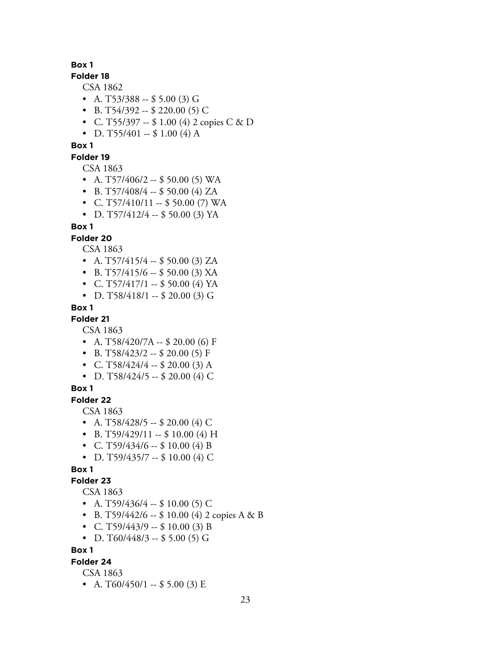## **Folder 18**

CSA 1862

- A. T53/388 -- \$ 5.00 (3) G
- B. T54/392 -- \$ 220.00 (5) C
- C. T55/397 -- \$ 1.00 (4) 2 copies C & D
- D. T55/401 -- \$ 1.00 (4) A

# **Box 1**

## **Folder 19**

CSA 1863

- A. T57/406/2  $-$  \$ 50.00 (5) WA
- B. T57/408/4 -- \$ 50.00 (4) ZA
- C. T57/410/11 -- \$50.00 (7) WA
- D. T57/412/4  $-$  \$ 50.00 (3) YA

## **Box 1**

## **Folder 20**

CSA 1863

- A. T57/415/4  $-$  \$ 50.00 (3) ZA
- B. T57/415/6 -- \$ 50.00 (3) XA
- C. T57/417/1  $-$  \$ 50.00 (4) YA
- D. T58/418/1 -- \$ 20.00 (3) G

**Box 1**

# **Folder 21**

CSA 1863

- A. T58/420/7A --  $$20.00$  (6) F
- B. T58/423/2 -- \$ 20.00 (5) F
- C. T58/424/4  $-$  \$ 20.00 (3) A
- D. T58/424/5 -- \$ 20.00 (4) C

#### **Box 1**

# **Folder 22**

CSA 1863

- A. T58/428/5 -- \$ 20.00 (4) C
- B. T59/429/11 -- \$ 10.00 (4) H
- C. T59/434/6 -- \$ 10.00 (4) B
- D. T59/435/7 -- \$ 10.00 (4) C

#### **Box 1**

#### **Folder 23**

CSA 1863

- A. T59/436/4 -- \$ 10.00 (5) C
- B. T59/442/6 -- \$ 10.00 (4) 2 copies A & B
- C. T59/443/9  $-$  \$ 10.00 (3) B
- D. T60/448/3 -- \$ 5.00 (5) G

## **Box 1**

## **Folder 24**

CSA 1863

• A.  $T60/450/1 - $5.00(3)$  E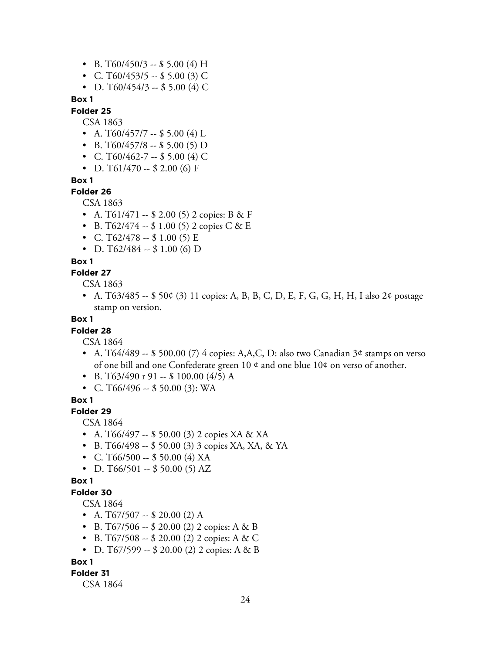- B. T60/450/3 -- \$ 5.00 (4) H
- C. T60/453/5 -- \$ 5.00 (3) C
- D. T60/454/3 -- \$ 5.00 (4) C

## **Folder 25**

CSA 1863

- A. T60/457/7 -- \$ 5.00 (4) L
- B. T60/457/8 -- \$ 5.00 (5) D
- C. T60/462-7 -- \$ 5.00 (4) C
- D. T61/470 -- \$ 2.00 (6) F

**Box 1**

#### **Folder 26**

CSA 1863

- A.  $T61/471 $2.00(5) 2$  copies: B & F
- B. T62/474 --  $$ 1.00 (5) 2 copies C & E$
- C. T62/478 --  $$1.00(5) E$
- D. T62/484 --  $$1.00$  (6) D

#### **Box 1**

#### **Folder 27**

CSA 1863

• A. T63/485 -- \$ 50¢ (3) 11 copies: A, B, B, C, D, E, F, G, G, H, H, I also 2¢ postage stamp on version.

## **Box 1**

## **Folder 28**

CSA 1864

- A. T64/489 -- \$ 500.00 (7) 4 copies: A,A,C, D: also two Canadian 3¢ stamps on verso of one bill and one Confederate green 10  $\phi$  and one blue 10 $\phi$  on verso of another.
- B. T63/490 r 91 -- \$ 100.00  $(4/5)$  A
- C. T66/496 -- \$ 50.00 (3): WA

## **Box 1**

## **Folder 29**

CSA 1864

- A. T66/497 -- \$ 50.00 (3) 2 copies XA & XA
- B. T66/498 -- \$ 50.00 (3) 3 copies XA, XA, & YA
- C. T66/500 -- \$ 50.00 (4) XA
- D. T66/501 -- \$ 50.00 (5) AZ

## **Box 1**

## **Folder 30**

#### CSA 1864

- A.  $T67/507 $20.00(2)$  A
- B. T67/506 -- \$ 20.00 (2) 2 copies: A & B
- B. T67/508 -- \$ 20.00 (2) 2 copies: A & C
- D. T67/599 -- \$ 20.00 (2) 2 copies: A & B

#### **Box 1**

#### **Folder 31**

CSA 1864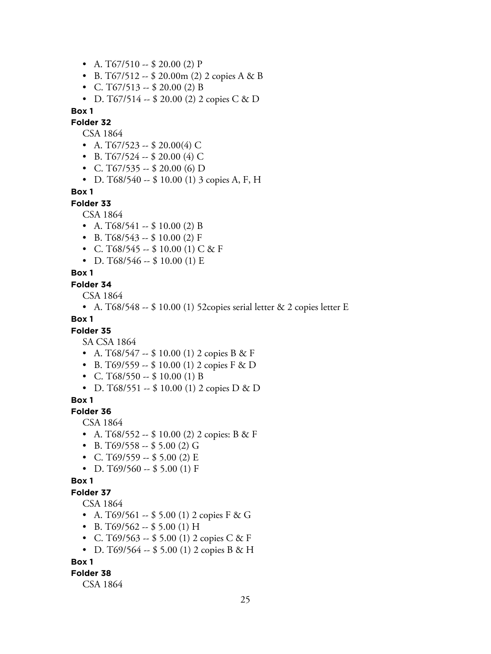- A.  $T67/510 $20.00(2) P$
- B. T67/512 -- \$ 20.00 m (2) 2 copies A & B
- C. T67/513 -- \$ 20.00 (2) B
- D. T67/514  $-$  \$ 20.00 (2) 2 copies C & D

**Folder 32**

CSA 1864

- A. T67/523 -- \$ 20.00(4) C
- B. T67/524 -- \$ 20.00 (4) C
- C. T67/535 -- \$ 20.00 (6) D
- D. T68/540 -- \$ 10.00 (1) 3 copies A, F, H

#### **Box 1**

**Folder 33**

CSA 1864

- A.  $T68/541 $10.00$  (2) B
- B. T68/543 -- \$ 10.00 (2) F
- C. T68/545 --  $$10.00$  (1) C & F
- D. T68/546 --  $$10.00(1)$  E

#### **Box 1**

#### **Folder 34**

CSA 1864

• A. T68/548 -- \$ 10.00 (1) 52copies serial letter & 2 copies letter E

## **Box 1**

## **Folder 35**

SA CSA 1864

- A. T68/547 --  $$ 10.00$  (1) 2 copies B & F
- B. T69/559 --  $$ 10.00$  (1) 2 copies F & D
- C. T68/550 -- \$ 10.00 (1) B
- D. T68/551 -- \$ 10.00 (1) 2 copies D & D

**Box 1**

## **Folder 36**

CSA 1864

- A. T68/552 -- \$ 10.00 (2) 2 copies: B & F
- B. T69/558 -- \$ 5.00 (2) G
- C. T69/559 -- \$ 5.00 (2) E
- D. T69/560 -- \$5.00 (1) F

#### **Box 1**

#### **Folder 37**

CSA 1864

- A. T69/561 -- \$ 5.00 (1) 2 copies  $F & G$
- B. T69/562 -- \$5.00 (1) H
- C. T69/563 -- \$ 5.00 (1) 2 copies C & F
- D. T69/564 --  $$5.00$  (1) 2 copies B & H

**Box 1**

#### **Folder 38**

CSA 1864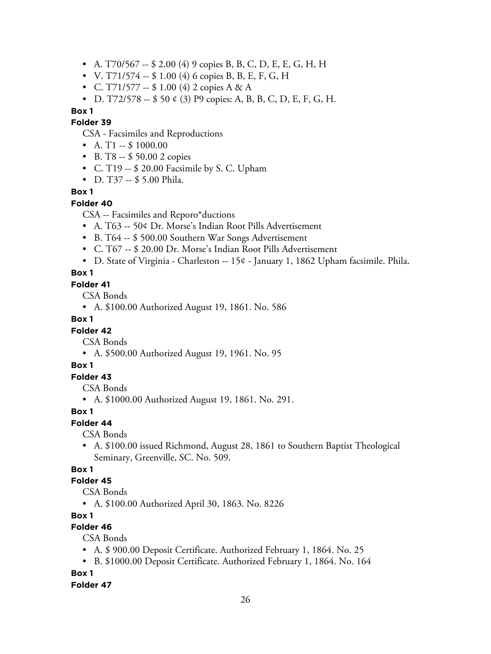- A. T70/567 -- \$ 2.00 (4) 9 copies B, B, C, D, E, E, G, H, H
- V. T71/574 -- \$ 1.00 (4) 6 copies B, B, E, F, G, H
- C. T71/577 --  $$ 1.00 (4) 2 copies A & A$
- D. T72/578 -- \$ 50 ¢ (3) P9 copies: A, B, B, C, D, E, F, G, H.

## **Folder 39**

CSA - Facsimiles and Reproductions

- A. T1  $-$  \$ 1000.00
- B. T8 -- \$ 50.00 2 copies
- C. T19 -- \$ 20.00 Facsimile by S. C. Upham
- D. T37 -- \$ 5.00 Phila.

## **Box 1**

## **Folder 40**

CSA -- Facsimiles and Reporo\*ductions

- A. T63 -- 50¢ Dr. Morse's Indian Root Pills Advertisement
- B. T64 -- \$ 500.00 Southern War Songs Advertisement
- C. T67 -- \$ 20.00 Dr. Morse's Indian Root Pills Advertisement
- D. State of Virginia Charleston -- 15¢ January 1, 1862 Upham facsimile. Phila.

## **Box 1**

#### **Folder 41**

CSA Bonds

• A. \$100.00 Authorized August 19, 1861. No. 586

## **Box 1**

## **Folder 42**

CSA Bonds

• A. \$500.00 Authorized August 19, 1961. No. 95

## **Box 1**

## **Folder 43**

CSA Bonds

• A. \$1000.00 Authorized August 19, 1861. No. 291.

## **Box 1**

**Folder 44**

CSA Bonds

• A. \$100.00 issued Richmond, August 28, 1861 to Southern Baptist Theological Seminary, Greenville, SC. No. 509.

## **Box 1**

## **Folder 45**

CSA Bonds

• A. \$100.00 Authorized April 30, 1863. No. 8226

## **Box 1**

## **Folder 46**

CSA Bonds

- A. \$ 900.00 Deposit Certificate. Authorized February 1, 1864. No. 25
- B. \$1000.00 Deposit Certificate. Authorized February 1, 1864. No. 164

## **Box 1**

**Folder 47**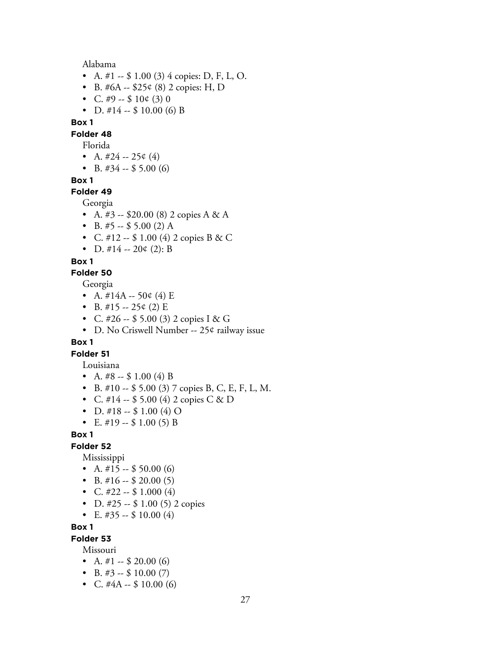Alabama

- A. #1  $-$  \$ 1.00 (3) 4 copies: D, F, L, O.
- B. #6A --  $$25¢$  (8) 2 copies: H, D
- C. #9 --  $$10¢$  (3) 0
- D.  $\#14 $10.00$  (6) B

## **Box 1**

**Folder 48**

- Florida
- A.  $\#24 25¢$  (4)
- B.  $\#34 $5.00(6)$

#### **Box 1**

**Folder 49**

#### Georgia

- A.  $#3 $20.00$  (8) 2 copies A & A
- B.  $#5 $5.00$  (2) A
- C. #12 --  $$ 1.00 (4) 2 copies B & C$
- D.  $\#14 20 \notin (2)$ : B

#### **Box 1**

**Folder 50**

#### Georgia

- A.  $\#14A 50 \notin (4) E$
- B.  $\#15 25¢$  (2) E
- C. #26 -- \$ 5.00 (3) 2 copies I & G
- D. No Criswell Number -- 25¢ railway issue

#### **Box 1**

# **Folder 51**

- Louisiana
- A.  $\#8 $1.00$  (4) B
- B. #10 -- \$ 5.00 (3) 7 copies B, C, E, F, L, M.
- C. #14  $-$  \$ 5.00 (4) 2 copies C & D
- D. #18 --  $$ 1.00 (4) O$
- E.  $\#19 $1.00(5)$  B

## **Box 1**

### **Folder 52**

Mississippi

- A.  $\#15 $50.00$  (6)
- B.  $\#16 $20.00(5)$
- C.  $\#22 \$1.000(4)$
- D. #25  $-$  \$ 1.00 (5) 2 copies
- E.  $\#35 $10.00(4)$

## **Box 1**

#### **Folder 53**

Missouri

- A.  $\#1 $20.00$  (6)
- B.  $\#3 $10.00(7)$
- C.  $\#4A $10.00$  (6)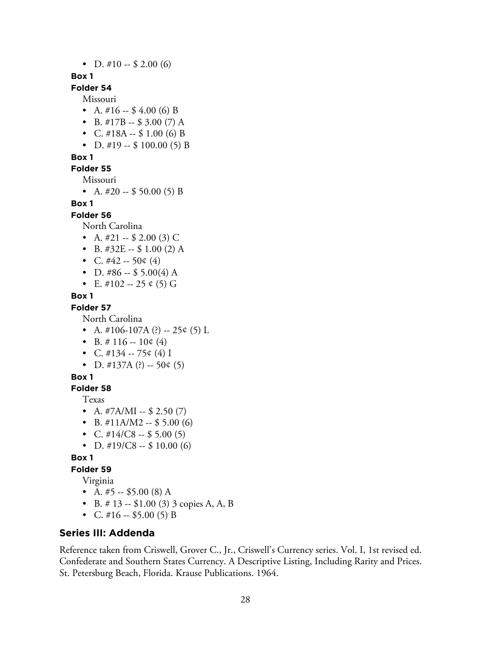• D.  $\#10 - $2.00(6)$ 

## **Box 1**

# **Folder 54**

Missouri

- A.  $\#16 $4.00$  (6) B
- B.  $\#17B $3.00(7) A$
- C.  $\#18A $1.00$  (6) B
- D. #19 --  $$100.00(5) B$

## **Box 1**

## **Folder 55**

Missouri

• A.  $\#20 - $50.00(5) B$ 

## **Box 1**

**Folder 56**

North Carolina

- A.  $\#21 \$2.00$  (3) C
- B.  $\#32E $1.00$  (2) A
- C.  $\#42 50 \notin (4)$
- D. #86 -- \$ 5.00(4) A
- E. #102 -- 25  $\circ$  (5) G

## **Box 1**

#### **Folder 57**

North Carolina

- A.  $\#106-107A$  (?) -- 25¢ (5) L
- B.  $\#$  116 -- 10¢ (4)
- C.  $\#134 75¢$  (4) I
- D. #137A (?) -- 50¢ (5)

#### **Box 1**

**Folder 58**

Texas

- A.  $\#7A/MI $2.50(7)$
- B.  $\#11A/M2 $5.00(6)$
- C.  $\#14/C8 $5.00(5)$
- D.  $\#19/C8 $10.00(6)$

#### **Box 1**

# **Folder 59**

Virginia

- A.  $#5 $5.00$  (8) A
- B.  $\#$  13 -- \$1.00 (3) 3 copies A, A, B
- C.  $\#16 \$5.00(5)$  B

# **Series III: Addenda**

Reference taken from Criswell, Grover C., Jr., Criswell's Currency series. Vol. I, 1st revised ed. Confederate and Southern States Currency. A Descriptive Listing, Including Rarity and Prices. St. Petersburg Beach, Florida. Krause Publications. 1964.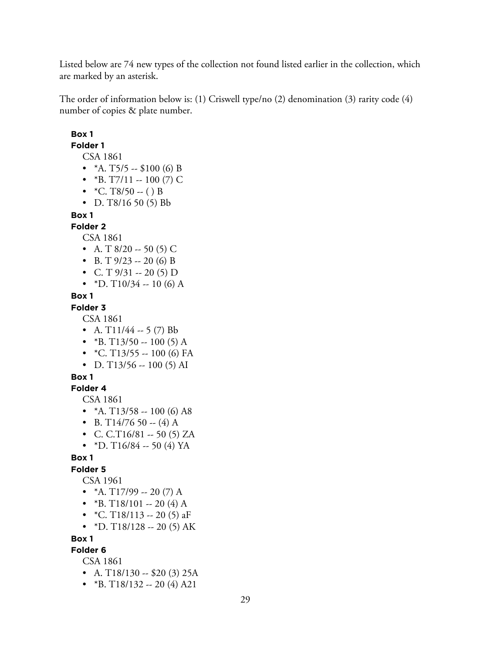Listed below are 74 new types of the collection not found listed earlier in the collection, which are marked by an asterisk.

The order of information below is: (1) Criswell type/no (2) denomination (3) rarity code (4) number of copies & plate number.

# **Box 1 Folder 1** CSA 1861 •  $*A. T5/5 - $100 (6) B$ • \*B. T7/11 -- 100 (7) C •  $*C. T8/50 - ( ) B$ • D. T $8/16$  50 (5) Bb **Box 1 Folder 2** CSA 1861 • A. T  $8/20 - 50$  (5) C • B. T  $9/23 - 20$  (6) B • C. T  $9/31 - 20$  (5) D • \*D. T $10/34 - 10$  (6) A **Box 1 Folder 3** CSA 1861 • A.  $T11/44 - 5$  (7) Bb • \*B. T13/50 -- 100 (5) A •  $*C. T13/55 - 100 (6) FA$ • D. T $13/56 - 100$  (5) AI **Box 1 Folder 4** CSA 1861 •  $*A. T13/58 - 100 (6) AB$ • B. T14/76 50 -- (4) A • C. C.T16/81 -- 50 (5) ZA • \*D. T16/84 -- 50 (4) YA **Box 1 Folder 5** CSA 1961 •  $*A. T17/99 - 20 (7) A$ • \*B. T18/101 -- 20 (4) A •  $*C. T18/113 - 20(5)$  aF • \*D. T18/128 -- 20 (5) AK **Box 1 Folder 6** CSA 1861 • A.  $T18/130 - 20$  (3) 25A

•  $*B. T18/132 - 20(4) A21$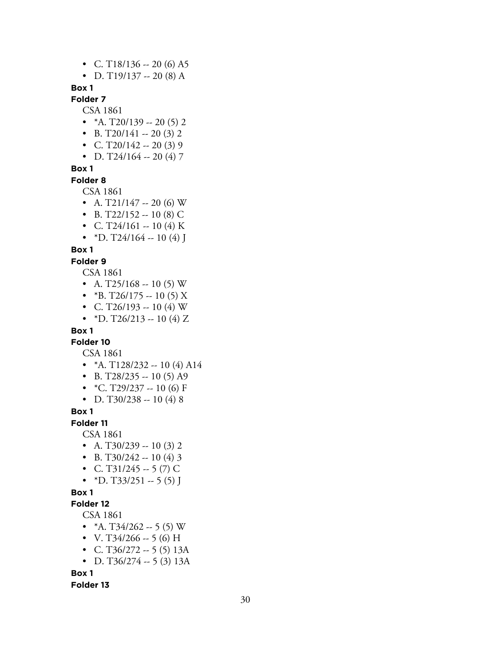- C. T18/136 -- 20 (6) A5
- D. T $19/137 20(8)$  A

# **Folder 7**

CSA 1861

- $*A. T20/139 20(5)2$
- B. T20/141 -- 20 (3) 2
- C. T20/142 -- 20 (3) 9
- D. T24/164 -- 20 (4) 7

## **Box 1**

**Folder 8**

CSA 1861

- A. T21/147 -- 20 (6) W
- B. T22/152 -- 10 (8) C
- C. T24/161 -- 10 (4) K
- \*D. T24/164 -- 10 (4) J

# **Box 1**

#### **Folder 9**

CSA 1861

- A. T25/168 -- 10 (5) W
- \*B. T26/175 -- 10 (5) X
- C. T26/193 -- 10 (4) W
- \*D. T26/213 -- 10 (4) Z

## **Box 1**

**Folder 10**

CSA 1861

- $*A. T128/232 10(4) A14$
- B. T28/235 -- 10 (5) A9
- $*C. T29/237 10(6) F$
- D. T30/238 -- 10 (4) 8

**Box 1**

**Folder 11**

CSA 1861

- A. T30/239 -- 10 (3) 2
- B. T30/242 -- 10 (4) 3
- C. T31/245 -- 5 (7) C
- \*D. T33/251 -- 5 (5) J

#### **Box 1**

## **Folder 12**

CSA 1861

- $*A. T34/262 5(5) W$
- V. T34/266 -- 5 (6) H
- C. T36/272  $-5$  (5) 13A
- D. T $36/274 5(3)$  13A

**Box 1**

**Folder 13**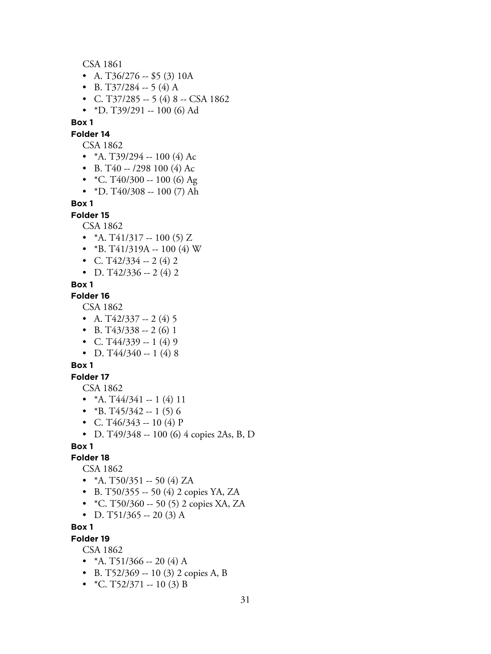CSA 1861

- A. T $36/276 $5(3) 10A$
- B. T37/284 -- 5 (4) A
- C. T37/285 -- 5 (4) 8 -- CSA 1862
- \*D. T39/291 -- 100 (6) Ad

**Box 1**

**Folder 14**

- CSA 1862
- \*A. T39/294 -- 100 (4) Ac
- B. T40  $-$  /298 100 (4) Ac
- $*C. T40/300 100 (6) Ag$
- \*D. T $40/308 100$  (7) Ah

**Box 1**

## **Folder 15**

CSA 1862

- $*A. T41/317 100(5) Z$
- \*B. T41/319A -- 100 (4) W
- C. T $42/334 2(4)2$
- D. T $42/336 2(4)$  2

#### **Box 1**

#### **Folder 16**

CSA 1862

- A. T $42/337 2(4)5$
- B. T $43/338 2(6)1$
- C. T $44/339 1(4)9$
- D. T $44/340 1$  (4) 8

## **Box 1**

## **Folder 17**

CSA 1862

- $*A. T44/341 1 (4) 11$
- $*B. T45/342 1(5)6$
- C. T46/343 -- 10 (4) P
- D. T49/348 -- 100 (6) 4 copies 2As, B, D

## **Box 1**

#### **Folder 18**

CSA 1862

- $*A. T50/351 50 (4) ZA$
- B. T50/355  $-$  50 (4) 2 copies YA, ZA
- \*C. T50/360 -- 50 (5) 2 copies XA, ZA
- D. T51/365 -- 20 (3) A

## **Box 1**

#### **Folder 19**

CSA 1862

- $*A. T51/366 20(4) A$
- B. T52/369 -- 10 (3) 2 copies A, B
- $*C. T52/371 10(3) B$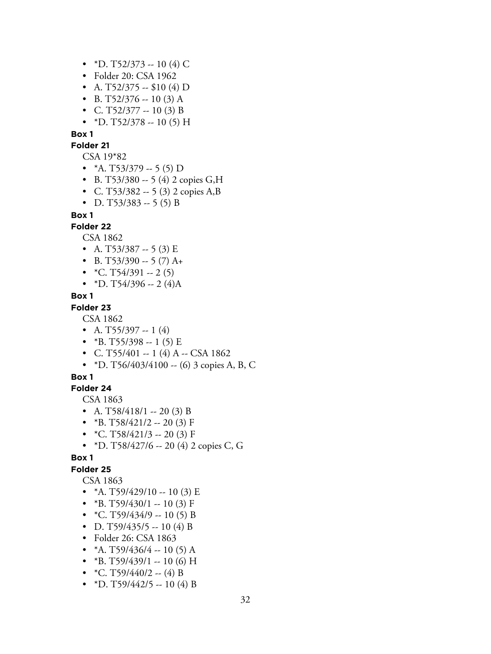- \*D. T52/373 -- 10 (4) C
- Folder 20: CSA 1962
- A. T52/375 -- \$10 (4) D
- B. T52/376 -- 10 (3) A
- C. T52/377 -- 10 (3) B
- \*D. T52/378 -- 10 (5) H

#### **Folder 21**

CSA 19\*82

- $*A. T53/379 5(5) D$
- B. T53/380 -- 5 (4) 2 copies G,H
- C. T53/382  $-$  5 (3) 2 copies A,B
- D. T53/383 -- 5 (5) B

#### **Box 1**

#### **Folder 22**

CSA 1862

- A. T53/387 -- 5 (3) E
- B. T53/390  $-$  5 (7) A+
- $*C. T54/391 2(5)$
- \*D. T54/396 -- 2 (4)A

## **Box 1**

## **Folder 23**

CSA 1862

- A. T55/397 -- 1  $(4)$
- $*B. T55/398 1(5) E$
- C. T55/401 -- 1 (4) A -- CSA 1862
- \*D. T56/403/4100 -- (6) 3 copies A, B, C

## **Box 1**

## **Folder 24**

CSA 1863

- A. T58/418/1 -- 20 (3) B
- \*B. T58/421/2 -- 20 (3) F
- $*C. T58/421/3 20(3) F$
- \*D. T58/427/6 -- 20 (4) 2 copies C, G

## **Box 1**

# **Folder 25**

CSA 1863

- \*A. T59/429/10 -- 10 (3) E
- \*B. T59/430/1 -- 10 (3) F
- $*C. T59/434/9 10(5) B$
- D. T59/435/5 -- 10 (4) B
- Folder 26: CSA 1863
- $*A. T59/436/4 10(5) A$
- \*B. T59/439/1 -- 10 (6) H
- $*C. T59/440/2 (4) B$
- \*D. T59/442/5 -- 10 (4) B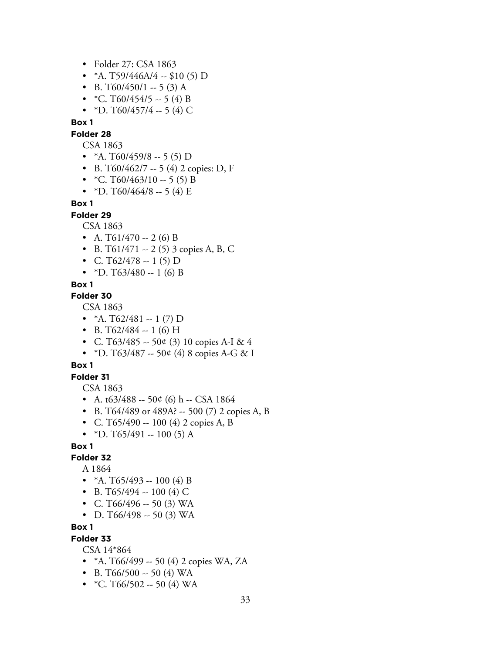- Folder 27: CSA 1863
- \*A. T59/446A/4 -- \$10 (5) D
- B. T60/450/1 -- 5 (3) A
- $*C. T60/454/5 5 (4) B$
- \*D. T60/457/4 -- 5 (4) C

#### **Folder 28**

CSA 1863

- \*A. T60/459/8 -- 5 (5) D
- B. T60/462/7 -- 5 (4) 2 copies: D, F
- $*C. T60/463/10 5(5) B$
- \*D. T60/464/8 -- 5 (4) E

## **Box 1**

**Folder 29**

CSA 1863

- A.  $T61/470 2$  (6) B
- B. T61/471 -- 2 (5) 3 copies A, B, C
- C. T62/478 -- 1 (5) D
- \*D. T63/480 -- 1 (6) B

## **Box 1**

#### **Folder 30**

CSA 1863

- $*A. T62/481 1 (7) D$
- B. T62/484 -- 1 (6) H
- C. T63/485 -- 50¢ (3) 10 copies A-I & 4
- \*D. T63/487 -- 50¢ (4) 8 copies A-G & I

## **Box 1**

**Folder 31**

CSA 1863

- A.  $t63/488 500 (6)$  h -- CSA 1864
- B. T64/489 or 489A? -- 500 (7) 2 copies A, B
- C. T65/490 -- 100 (4) 2 copies A, B
- \*D. T65/491 -- 100 (5) A

## **Box 1**

## **Folder 32**

A 1864

- $*A. T65/493 100 (4) B$
- B. T65/494 -- 100 (4) C
- C. T66/496 -- 50 (3) WA
- D. T66/498 -- 50 (3) WA

**Box 1**

#### **Folder 33**

CSA 14\*864

- $*A. T66/499 50 (4) 2 copies WA, ZA$
- B. T66/500 -- 50 (4) WA
- $*C. T66/502 50 (4) WA$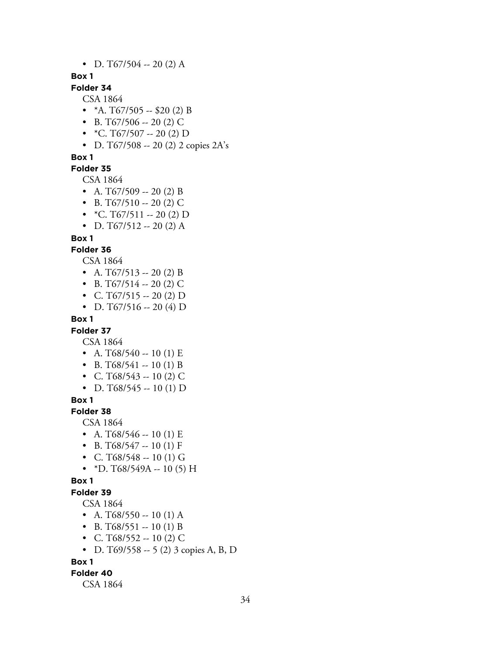• D. T67/504 -- 20 (2) A

## **Box 1**

# **Folder 34**

CSA 1864

- $*A. T67/505 $20 (2) B$
- B. T67/506 -- 20 (2) C
- $*C. T67/507 20(2) D$
- D. T67/508 -- 20 (2) 2 copies 2A's

## **Box 1**

# **Folder 35**

CSA 1864

- A. T67/509 -- 20 (2) B
- B. T67/510 -- 20 (2) C
- $*C. T67/511 20 (2) D$
- D. T67/512 -- 20 (2) A

## **Box 1**

## **Folder 36**

CSA 1864

- A.  $T67/513 20$  (2) B
- B. T67/514 -- 20 (2) C
- C. T67/515 -- 20 (2) D
- D. T67/516 -- 20 (4) D

## **Box 1**

# **Folder 37**

CSA 1864

- A. T68/540 -- 10 (1) E
- B. T68/541 -- 10 (1) B
- C. T68/543 -- 10 (2) C
- D. T68/545 -- 10 (1) D

## **Box 1**

**Folder 38**

# CSA 1864

- A. T68/546 -- 10 (1) E
- B. T68/547 -- 10 (1) F
- C. T68/548 -- 10 (1) G
- \*D. T68/549A -- 10 (5) H

## **Box 1**

# **Folder 39**

## CSA 1864

- A. T68/550 -- 10 (1) A
- B. T68/551 -- 10 (1) B
- C. T68/552 -- 10 (2) C
- D. T69/558 -- 5 (2) 3 copies A, B, D

#### **Box 1**

#### **Folder 40**

CSA 1864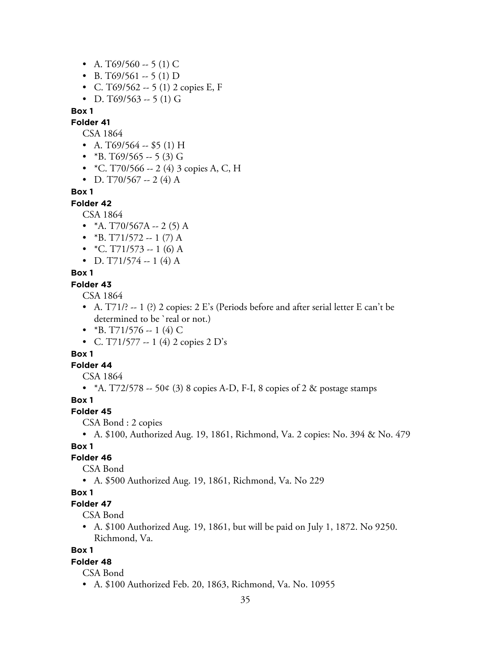- A. T69/560 -- 5 (1) C
- B. T69/561 -- 5 (1) D
- C. T69/562  $-$  5 (1) 2 copies E, F
- D. T69/563 -- 5 (1) G

**Folder 41**

CSA 1864

- A. T69/564 -- \$5 (1) H
- $*B. T69/565 5(3) G$
- \*C. T70/566 -- 2 (4) 3 copies A, C, H
- D. T70/567 -- 2 (4) A

#### **Box 1**

**Folder 42**

CSA 1864

- $*A. T70/567A 2(5)A$
- $*B. T71/572 1 (7) A$
- $*C. T71/573 1 (6) A$
- D. T71/574 -- 1 (4) A

## **Box 1**

## **Folder 43**

CSA 1864

- A.  $T71$ ?  $-1$  (?) 2 copies: 2 E's (Periods before and after serial letter E can't be determined to be 'real or not.)
- \*B. T71/576 -- 1 (4) C
- C. T71/577 -- 1 (4) 2 copies 2 D's

## **Box 1**

**Folder 44**

CSA 1864

• \*A.  $T72/578 - 50¢$  (3) 8 copies A-D, F-I, 8 copies of 2 & postage stamps

## **Box 1**

#### **Folder 45**

CSA Bond : 2 copies

• A. \$100, Authorized Aug. 19, 1861, Richmond, Va. 2 copies: No. 394 & No. 479

# **Box 1**

## **Folder 46**

CSA Bond

• A. \$500 Authorized Aug. 19, 1861, Richmond, Va. No 229

## **Box 1**

# **Folder 47**

CSA Bond

• A. \$100 Authorized Aug. 19, 1861, but will be paid on July 1, 1872. No 9250. Richmond, Va.

## **Box 1**

# **Folder 48**

- CSA Bond
- A. \$100 Authorized Feb. 20, 1863, Richmond, Va. No. 10955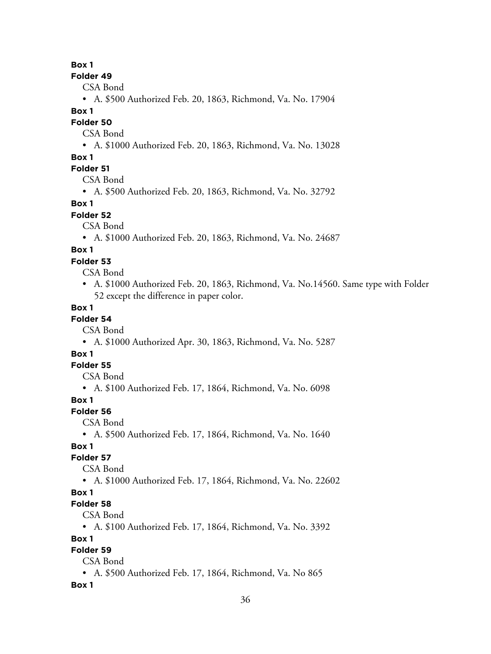**Folder 49**

CSA Bond

• A. \$500 Authorized Feb. 20, 1863, Richmond, Va. No. 17904

## **Box 1**

**Folder 50**

CSA Bond

• A. \$1000 Authorized Feb. 20, 1863, Richmond, Va. No. 13028

## **Box 1**

## **Folder 51**

CSA Bond

• A. \$500 Authorized Feb. 20, 1863, Richmond, Va. No. 32792

## **Box 1**

**Folder 52**

CSA Bond

• A. \$1000 Authorized Feb. 20, 1863, Richmond, Va. No. 24687

## **Box 1**

## **Folder 53**

CSA Bond

• A. \$1000 Authorized Feb. 20, 1863, Richmond, Va. No.14560. Same type with Folder 52 except the difference in paper color.

## **Box 1**

# **Folder 54**

CSA Bond

• A. \$1000 Authorized Apr. 30, 1863, Richmond, Va. No. 5287

# **Box 1**

**Folder 55**

CSA Bond

• A. \$100 Authorized Feb. 17, 1864, Richmond, Va. No. 6098

## **Box 1**

## **Folder 56**

CSA Bond

• A. \$500 Authorized Feb. 17, 1864, Richmond, Va. No. 1640

# **Box 1**

**Folder 57**

CSA Bond

• A. \$1000 Authorized Feb. 17, 1864, Richmond, Va. No. 22602

## **Box 1**

**Folder 58**

CSA Bond

• A. \$100 Authorized Feb. 17, 1864, Richmond, Va. No. 3392

## **Box 1**

# **Folder 59**

CSA Bond

• A. \$500 Authorized Feb. 17, 1864, Richmond, Va. No 865

## **Box 1**